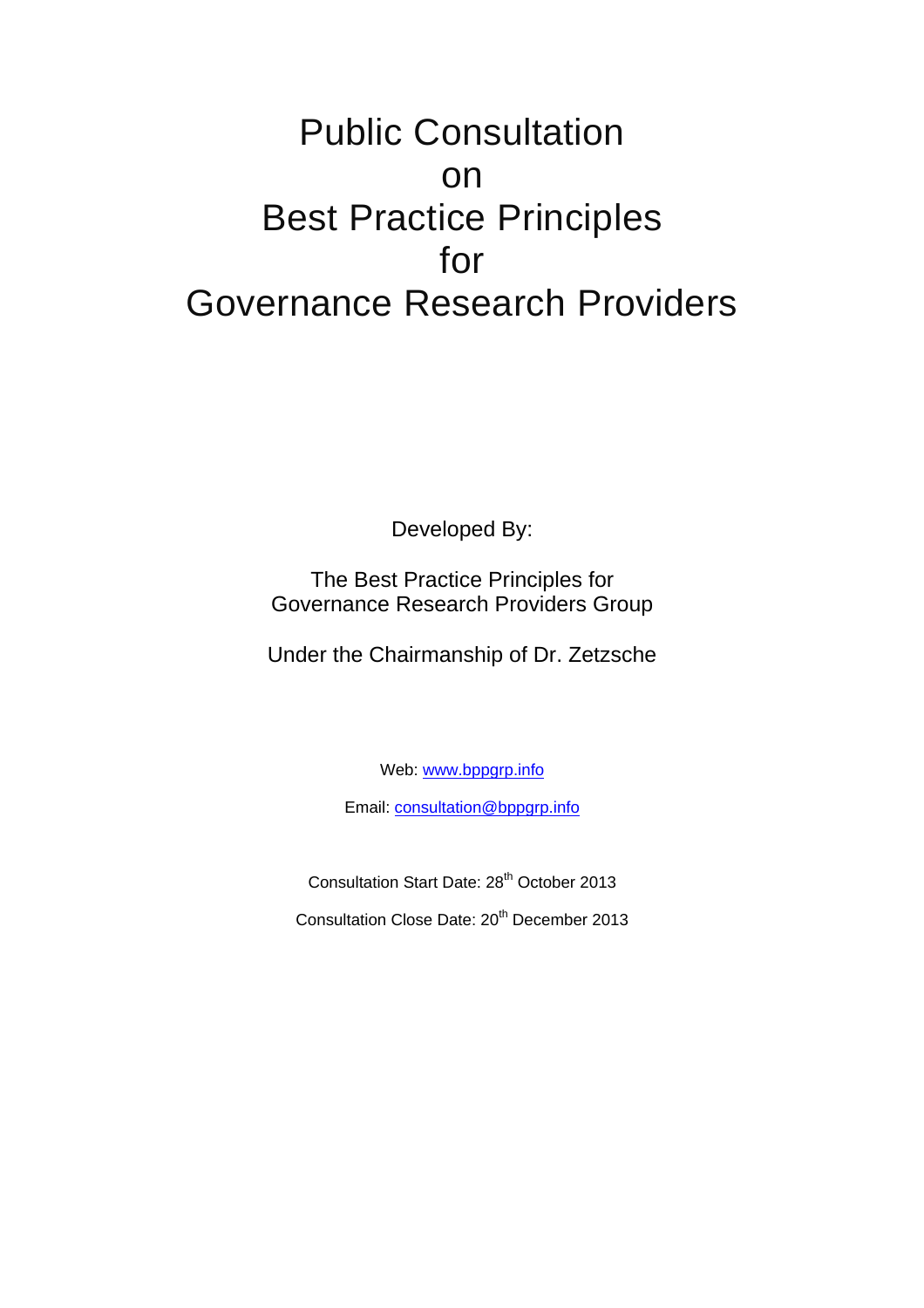# Public Consultation on Best Practice Principles for Governance Research Providers

Developed By:

The Best Practice Principles for Governance Research Providers Group

Under the Chairmanship of Dr. Zetzsche

Web: [www.bppgrp.info](http://www.bppgrp.info/)

Email: [consultation@bppgrp.info](mailto:consultation@bppgrp.info)

Consultation Start Date: 28th October 2013

Consultation Close Date: 20th December 2013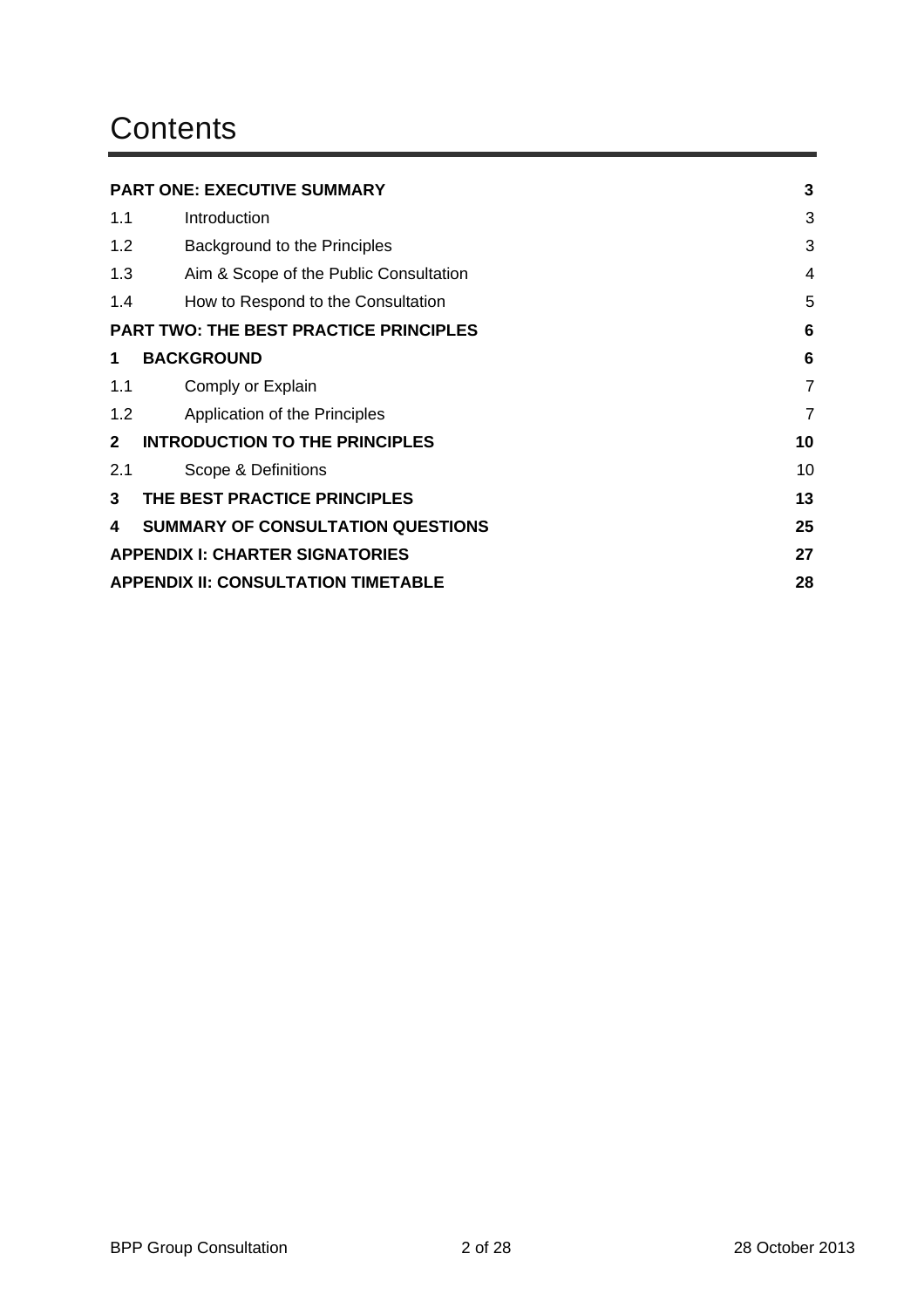## **Contents**

|                                                             | <b>PART ONE: EXECUTIVE SUMMARY</b>               | 3              |  |
|-------------------------------------------------------------|--------------------------------------------------|----------------|--|
| 1.1                                                         | Introduction                                     | 3              |  |
| 1.2                                                         | Background to the Principles                     | 3              |  |
| 1.3                                                         | Aim & Scope of the Public Consultation           | 4              |  |
| 1.4                                                         | How to Respond to the Consultation               | 5              |  |
| <b>PART TWO: THE BEST PRACTICE PRINCIPLES</b><br>6          |                                                  |                |  |
| 1                                                           | <b>BACKGROUND</b>                                | 6              |  |
| 1.1                                                         | Comply or Explain                                | $\overline{7}$ |  |
| 1.2                                                         | Application of the Principles                    | $\overline{7}$ |  |
| $\mathbf{2}$<br><b>INTRODUCTION TO THE PRINCIPLES</b><br>10 |                                                  |                |  |
| 2.1                                                         | Scope & Definitions                              | 10             |  |
| 3                                                           | THE BEST PRACTICE PRINCIPLES                     | 13             |  |
| 4                                                           | <b>SUMMARY OF CONSULTATION QUESTIONS</b>         | 25             |  |
|                                                             | <b>APPENDIX I: CHARTER SIGNATORIES</b><br>27     |                |  |
|                                                             | <b>APPENDIX II: CONSULTATION TIMETABLE</b><br>28 |                |  |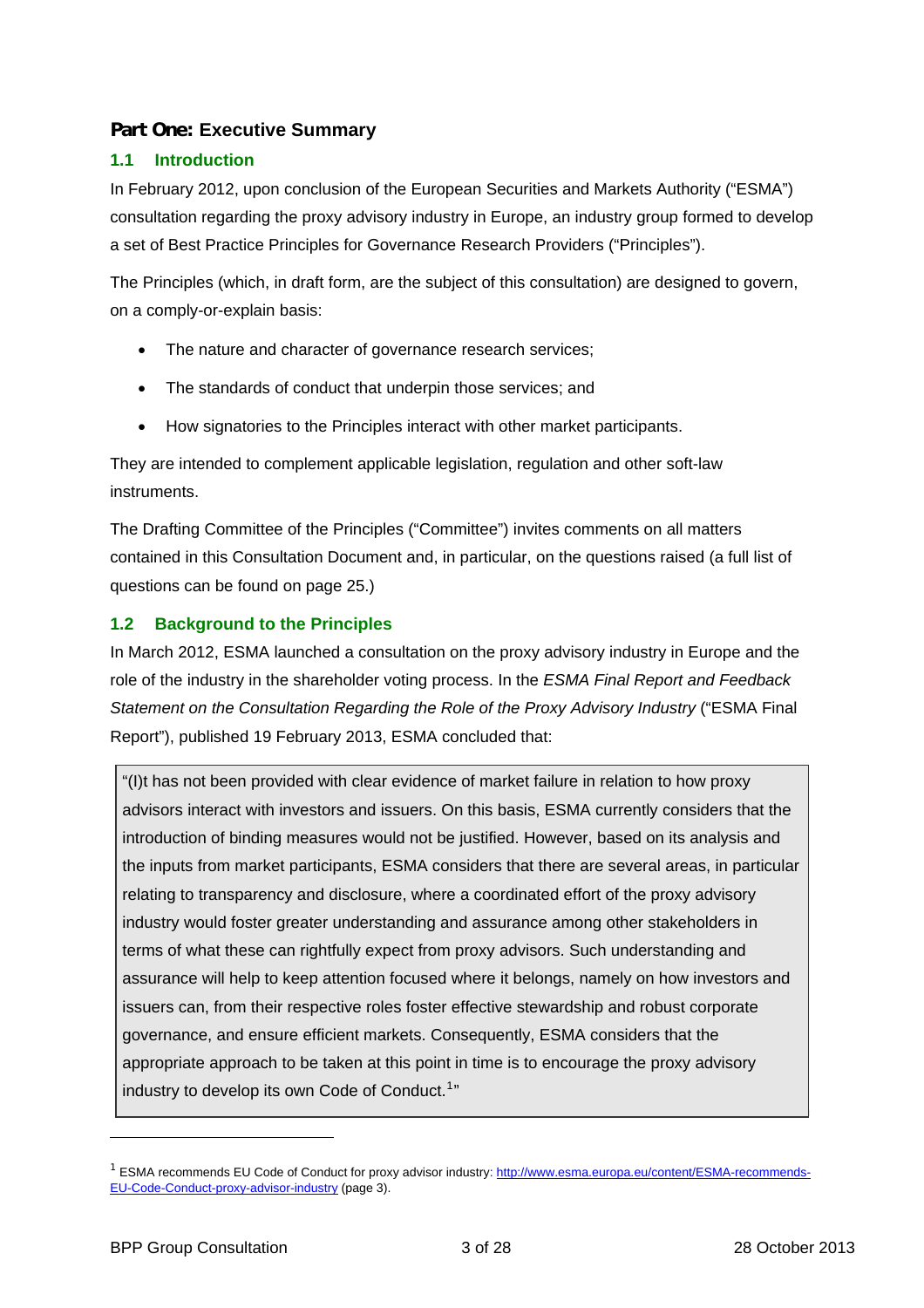## <span id="page-2-0"></span>**Part One: Executive Summary**

## <span id="page-2-1"></span>**1.1 Introduction**

In February 2012, upon conclusion of the European Securities and Markets Authority ("ESMA") consultation regarding the proxy advisory industry in Europe, an industry group formed to develop a set of Best Practice Principles for Governance Research Providers ("Principles").

The Principles (which, in draft form, are the subject of this consultation) are designed to govern, on a comply-or-explain basis:

- The nature and character of governance research services;
- The standards of conduct that underpin those services; and
- How signatories to the Principles interact with other market participants.

They are intended to complement applicable legislation, regulation and other soft-law instruments.

The Drafting Committee of the Principles ("Committee") invites comments on all matters contained in this Consultation Document and, in particular, on the questions raised (a full list of questions can be found on page 25[.\)](#page-24-1) 

#### <span id="page-2-2"></span>**1.2 Background to the Principles**

In March 2012, ESMA launched a consultation on the proxy advisory industry in Europe and the role of the industry in the shareholder voting process. In the *ESMA Final Report and Feedback Statement on the Consultation Regarding the Role of the Proxy Advisory Industry* ("ESMA Final Report"), published 19 February 2013, ESMA concluded that:

"(I)t has not been provided with clear evidence of market failure in relation to how proxy advisors interact with investors and issuers. On this basis, ESMA currently considers that the introduction of binding measures would not be justified. However, based on its analysis and the inputs from market participants, ESMA considers that there are several areas, in particular relating to transparency and disclosure, where a coordinated effort of the proxy advisory industry would foster greater understanding and assurance among other stakeholders in terms of what these can rightfully expect from proxy advisors. Such understanding and assurance will help to keep attention focused where it belongs, namely on how investors and issuers can, from their respective roles foster effective stewardship and robust corporate governance, and ensure efficient markets. Consequently, ESMA considers that the appropriate approach to be taken at this point in time is to encourage the proxy advisory industry to develop its own Code of Conduct.<sup>[1](#page-2-3)</sup>"

 $\overline{a}$ 

<span id="page-2-3"></span><sup>&</sup>lt;sup>1</sup> ESMA recommends EU Code of Conduct for proxy advisor industry: [http://www.esma.europa.eu/content/ESMA-recommends-](http://www.esma.europa.eu/content/ESMA-recommends-EU-Code-Conduct-proxy-advisor-industry)[EU-Code-Conduct-proxy-advisor-industry](http://www.esma.europa.eu/content/ESMA-recommends-EU-Code-Conduct-proxy-advisor-industry) (page 3).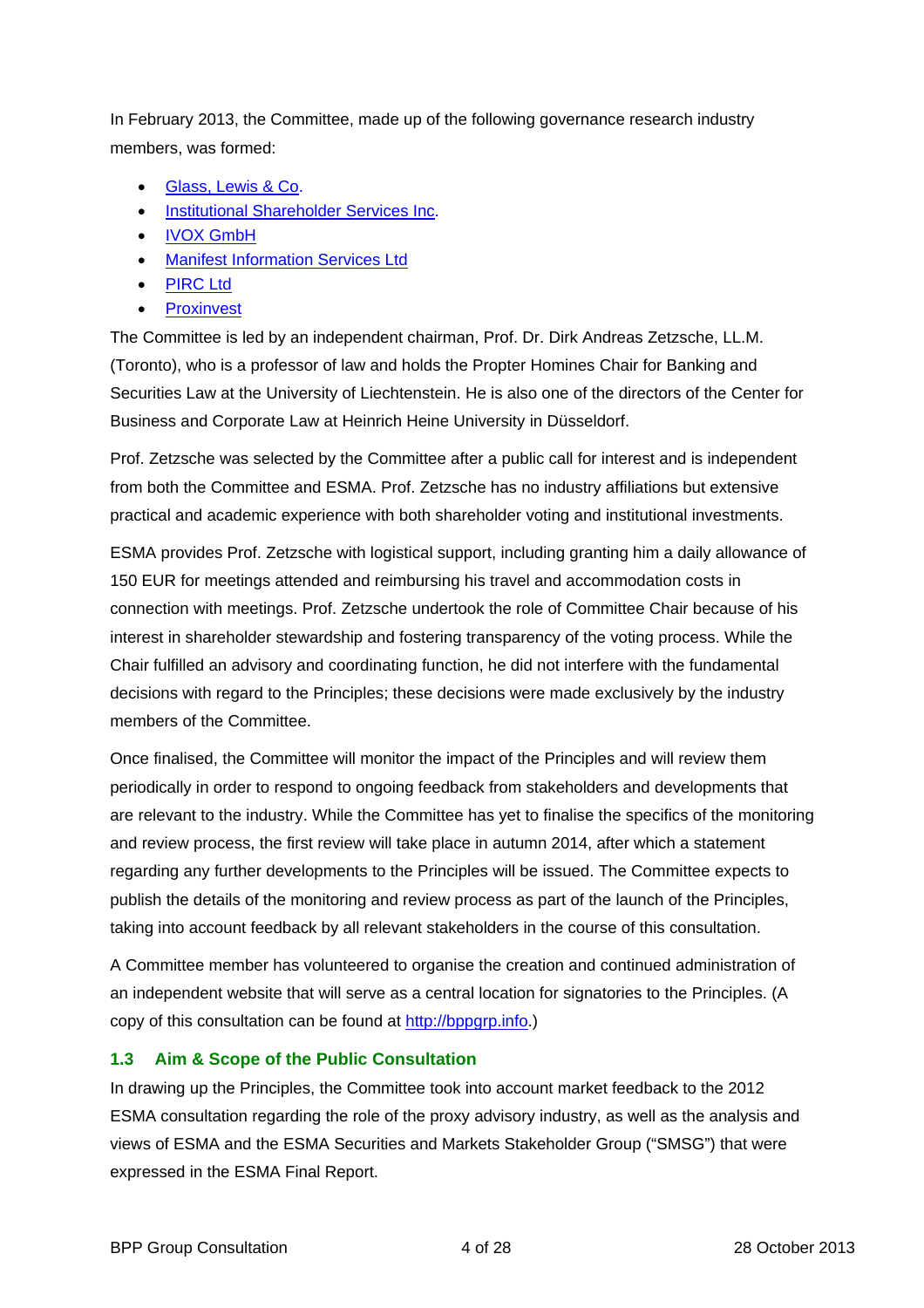In February 2013, the Committee, made up of the following governance research industry members, was formed:

- Glass, Lewis & Co.
- **[Institutional Shareholder Services Inc.](http://www.issgovernance.com/)**
- IVOX GmbH
- **•** Manifest Information Services Ltd
- [PIRC Ltd](http://www.pirc.co.uk/)
- [Proxinvest](http://www.proxinvest.com/)

The Committee is led by an independent chairman, Prof. Dr. Dirk Andreas Zetzsche, LL.M. (Toronto), who is a professor of law and holds the Propter Homines Chair for Banking and Securities Law at the University of Liechtenstein. He is also one of the directors of the Center for Business and Corporate Law at Heinrich Heine University in Düsseldorf.

Prof. Zetzsche was selected by the Committee after a public call for interest and is independent from both the Committee and ESMA. Prof. Zetzsche has no industry affiliations but extensive practical and academic experience with both shareholder voting and institutional investments.

ESMA provides Prof. Zetzsche with logistical support, including granting him a daily allowance of 150 EUR for meetings attended and reimbursing his travel and accommodation costs in connection with meetings. Prof. Zetzsche undertook the role of Committee Chair because of his interest in shareholder stewardship and fostering transparency of the voting process. While the Chair fulfilled an advisory and coordinating function, he did not interfere with the fundamental decisions with regard to the Principles; these decisions were made exclusively by the industry members of the Committee.

Once finalised, the Committee will monitor the impact of the Principles and will review them periodically in order to respond to ongoing feedback from stakeholders and developments that are relevant to the industry. While the Committee has yet to finalise the specifics of the monitoring and review process, the first review will take place in autumn 2014, after which a statement regarding any further developments to the Principles will be issued. The Committee expects to publish the details of the monitoring and review process as part of the launch of the Principles, taking into account feedback by all relevant stakeholders in the course of this consultation.

A Committee member has volunteered to organise the creation and continued administration of an independent website that will serve as a central location for signatories to the Principles. (A copy of this consultation can be found at [http://bppgrp.info](http://bppgrp.info/).)

#### **1.3 Aim & Scope of the Public Consultation**

<span id="page-3-0"></span>In drawing up the Principles, the Committee took into account market feedback to the 2012 ESMA consultation regarding the role of the proxy advisory industry, as well as the analysis and views of ESMA and the ESMA Securities and Markets Stakeholder Group ("SMSG") that were expressed in the ESMA Final Report.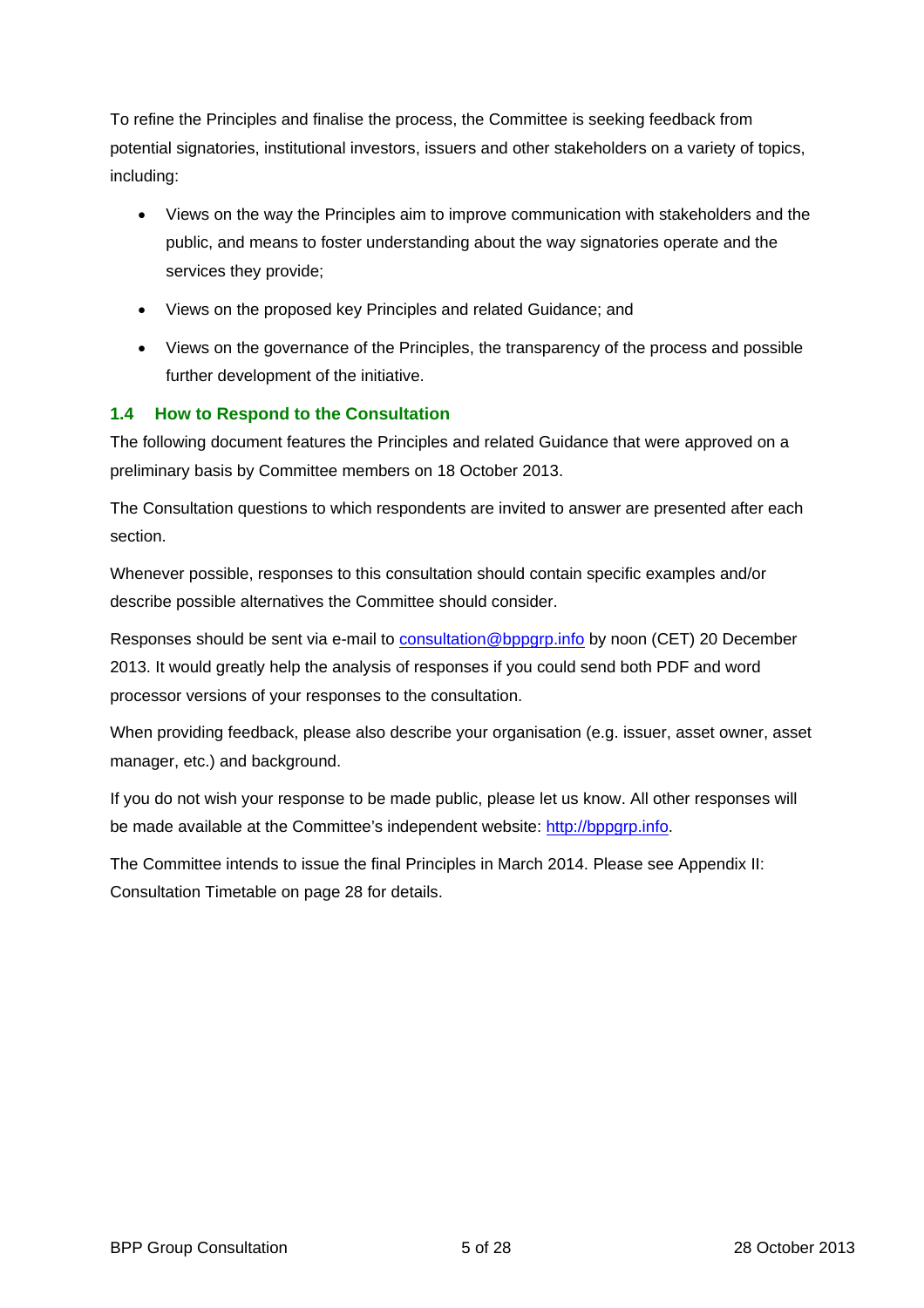To refine the Principles and finalise the process, the Committee is seeking feedback from potential signatories, institutional investors, issuers and other stakeholders on a variety of topics, including:

- Views on the way the Principles aim to improve communication with stakeholders and the public, and means to foster understanding about the way signatories operate and the services they provide;
- Views on the proposed key Principles and related Guidance; and
- Views on the governance of the Principles, the transparency of the process and possible further development of the initiative.

## **1.4 How to Respond to the Consultation**

<span id="page-4-0"></span>The following document features the Principles and related Guidance that were approved on a preliminary basis by Committee members on 18 October 2013.

The Consultation questions to which respondents are invited to answer are presented after each section.

Whenever possible, responses to this consultation should contain specific examples and/or describe possible alternatives the Committee should consider.

Responses should be sent via e-mail to [consultation@bppgrp.info](mailto:consultation@bppgrp.info) by noon (CET) 20 December 2013. It would greatly help the analysis of responses if you could send both PDF and word processor versions of your responses to the consultation.

When providing feedback, please also describe your organisation (e.g. issuer, asset owner, asset manager, etc.) and background.

If you do not wish your response to be made public, please let us know. All other responses will be made available at the Committee's independent website: [http://bppgrp.info](http://bppgrp.info/).

The Committee intends to issue the final Principles in March 2014. Please see Appendix II: Consultation Timetabl[e on page](#page-27-1) 28 [for details.](#page-27-1)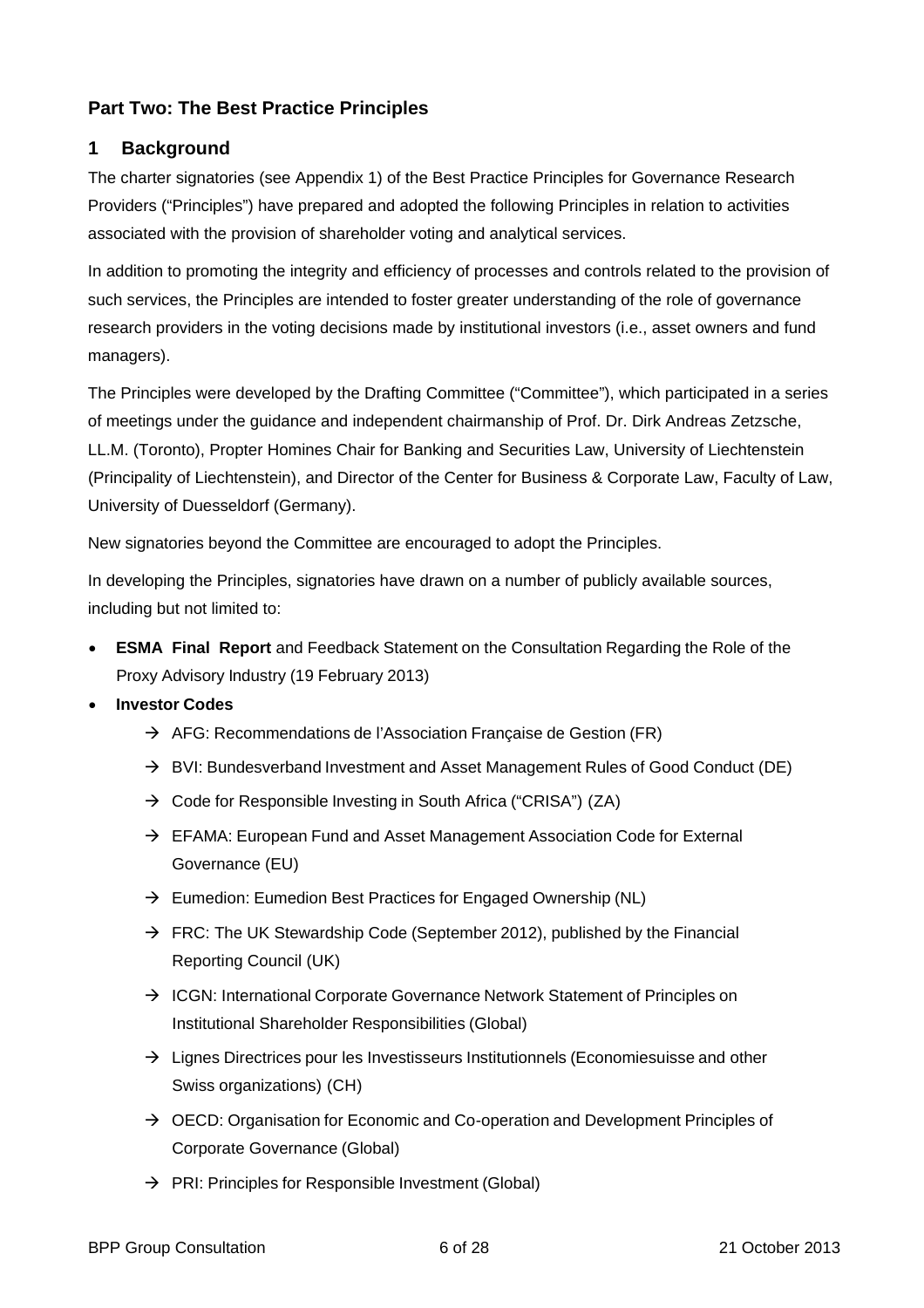## <span id="page-5-0"></span>**Part Two: The Best Practice Principles**

## <span id="page-5-1"></span>**1 Background**

The charter signatories (see Appendix 1) of the Best Practice Principles for Governance Research Providers ("Principles") have prepared and adopted the following Principles in relation to activities associated with the provision of shareholder voting and analytical services.

In addition to promoting the integrity and efficiency of processes and controls related to the provision of such services, the Principles are intended to foster greater understanding of the role of governance research providers in the voting decisions made by institutional investors (i.e., asset owners and fund managers).

The Principles were developed by the Drafting Committee ("Committee"), which participated in a series of meetings under the guidance and independent chairmanship of Prof. Dr. Dirk Andreas Zetzsche, LL.M. (Toronto), Propter Homines Chair for Banking and Securities La[w, University of Liechtenstein](http://www.uni.li/tabid/1826/default.aspx)  [\(Principality of Liechtenstein\), and Director of the Center for Business & Corporate Law, Faculty of Law,](http://www.uni.li/tabid/1826/default.aspx)  [University of Duesseldorf \(Germany\).](http://www.uni.li/tabid/1826/default.aspx) 

New signatories beyond the Committee are encouraged to adopt the Principles.

In developing the Principles, signatories have drawn on a number of publicly available sources, including but not limited to:

- **ESMA Final Report** and Feedback Statement on the [Consultation Regarding the Role of](http://www.esma.europa.eu/system/files/2013-84.pdf) the [Proxy Advisory Industry](http://www.esma.europa.eu/system/files/2013-84.pdf) (19 February 2013)
- **Investor Codes**
	- $\rightarrow$  AFG: Recommendations de l'Association Française de Gestion (FR)
	- $\rightarrow$  BVI: Bundesverband Investment and Asset Management Rules of Good Conduct (DE)
	- $\rightarrow$  Code for Responsible Investing in South Africa ("CRISA") (ZA)
	- $\rightarrow$  EFAMA: European Fund and Asset Management Association Code for External Governance (EU)
	- $\rightarrow$  Eumedion: Eumedion Best Practices for Engaged Ownership (NL)
	- $\rightarrow$  FRC: The UK Stewardship Code (September 2012), published by the Financial Reporting Council (UK)
	- $\rightarrow$  ICGN: International Corporate Governance Network Statement of Principles on Institutional Shareholder Responsibilities (Global)
	- $\rightarrow$  Lignes Directrices pour les Investisseurs Institutionnels (Economiesuisse and other Swiss organizations) (CH)
	- $\rightarrow$  OECD: Organisation for Economic and Co-operation and Development Principles of Corporate Governance (Global)
	- $\rightarrow$  PRI: Principles for Responsible Investment (Global)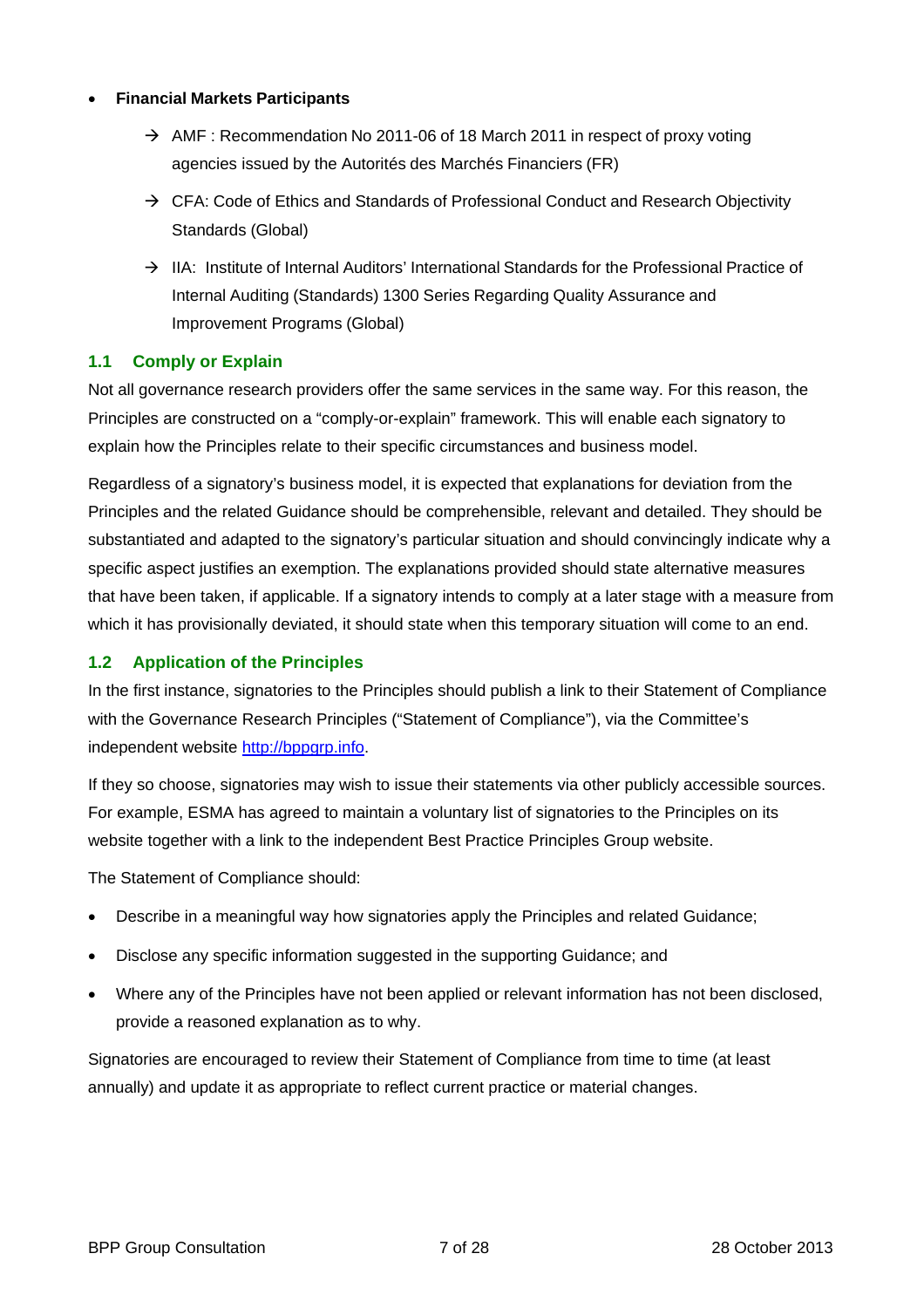#### **Financial Markets Participants**

- $\rightarrow$  AMF : Recommendation No 2011-06 of 18 March 2011 in respect of proxy voting agencies issued by the Autorités des Marchés Financiers (FR)
- $\rightarrow$  CFA: Code of Ethics and Standards of Professional Conduct and Research Objectivity Standards (Global)
- $\rightarrow$  IIA: Institute of Internal Auditors' International Standards for the Professional Practice of Internal Auditing (Standards) 1300 Series Regarding Quality Assurance and Improvement Programs (Global)

#### <span id="page-6-0"></span>**1.1 Comply or Explain**

Not all governance research providers offer the same services in the same way. For this reason, the Principles are constructed on a "comply-or-explain" framework. This will enable each signatory to explain how the Principles relate to their specific circumstances and business model.

Regardless of a signatory's business model, it is expected that explanations for deviation from the Principles and the related Guidance should be comprehensible, relevant and detailed. They should be substantiated and adapted to the signatory's particular situation and should convincingly indicate why a specific aspect justifies an exemption. The explanations provided should state alternative measures that have been taken, if applicable. If a signatory intends to comply at a later stage with a measure from which it has provisionally deviated, it should state when this temporary situation will come to an end.

#### <span id="page-6-1"></span>**1.2 Application of the Principles**

In the first instance, signatories to the Principles should publish a link to their Statement of Compliance with the Governance Research Principles ("Statement of Compliance"), via the Committee's independent website [http://bppgrp.info.](http://bppgrp.info/)

If they so choose, signatories may wish to issue their statements via other publicly accessible sources. For example, ESMA has agreed to maintain a voluntary list of signatories to the Principles on its website together with a link to the independent Best Practice Principles Group website.

The Statement of Compliance should:

- Describe in a meaningful way how signatories apply the Principles and related Guidance;
- Disclose any specific information suggested in the supporting Guidance; and
- Where any of the Principles have not been applied or relevant information has not been disclosed, provide a reasoned explanation as to why.

Signatories are encouraged to review their Statement of Compliance from time to time (at least annually) and update it as appropriate to reflect current practice or material changes.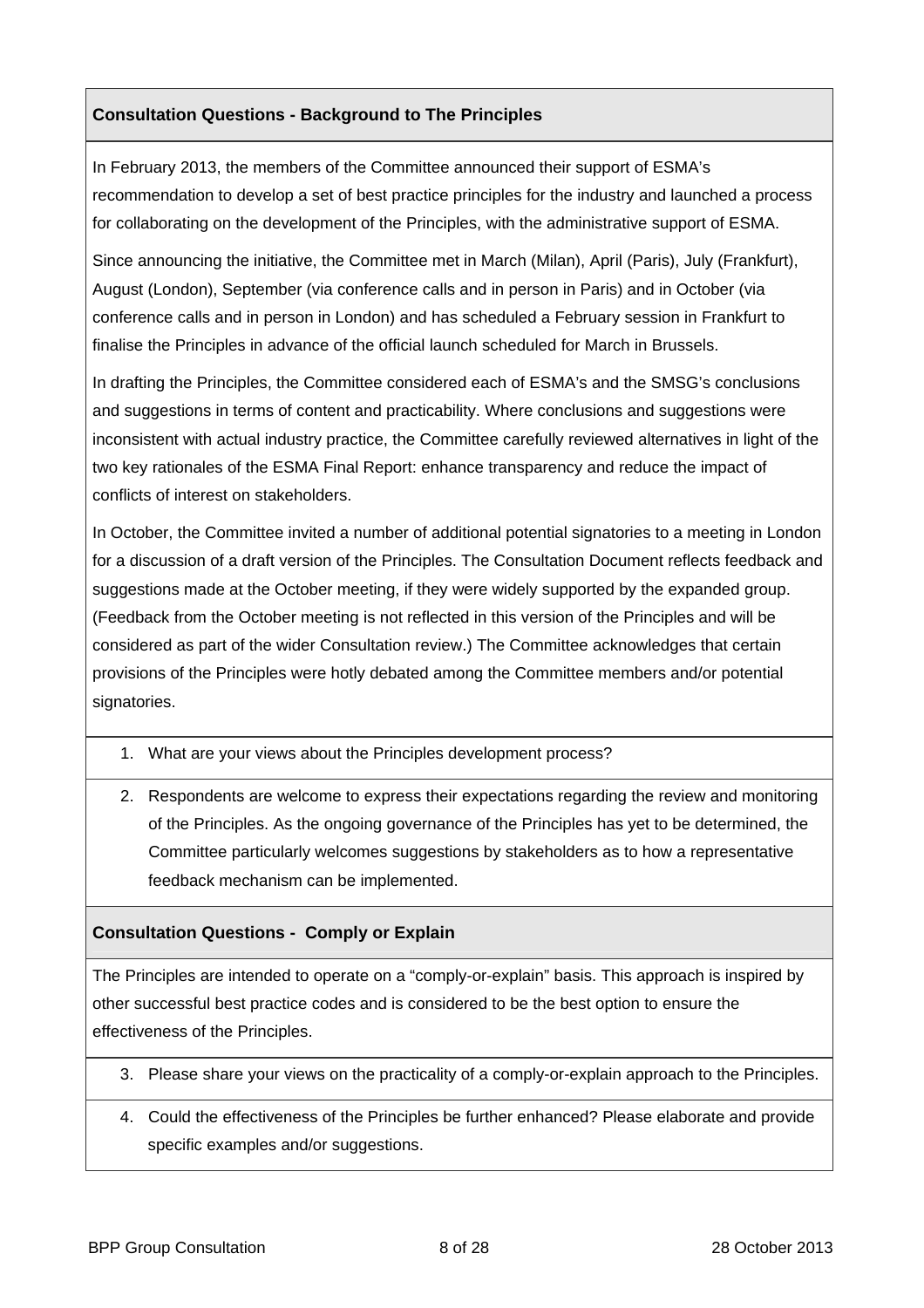## **Consultation Questions - Background to The Principles**

In February 2013, the members of the Committee announced their support of ESMA's recommendation to develop a set of best practice principles for the industry and launched a process for collaborating on the development of the Principles, with the administrative support of ESMA.

Since announcing the initiative, the Committee met in March (Milan), April (Paris), July (Frankfurt), August (London), September (via conference calls and in person in Paris) and in October (via conference calls and in person in London) and has scheduled a February session in Frankfurt to finalise the Principles in advance of the official launch scheduled for March in Brussels.

In drafting the Principles, the Committee considered each of ESMA's and the SMSG's conclusions and suggestions in terms of content and practicability. Where conclusions and suggestions were inconsistent with actual industry practice, the Committee carefully reviewed alternatives in light of the two key rationales of the ESMA Final Report: enhance transparency and reduce the impact of conflicts of interest on stakeholders.

In October, the Committee invited a number of additional potential signatories to a meeting in London for a discussion of a draft version of the Principles. The Consultation Document reflects feedback and suggestions made at the October meeting, if they were widely supported by the expanded group. (Feedback from the October meeting is not reflected in this version of the Principles and will be considered as part of the wider Consultation review.) The Committee acknowledges that certain provisions of the Principles were hotly debated among the Committee members and/or potential signatories.

- 1. What are your views about the Principles development process?
- 2. Respondents are welcome to express their expectations regarding the review and monitoring of the Principles. As the ongoing governance of the Principles has yet to be determined, the Committee particularly welcomes suggestions by stakeholders as to how a representative feedback mechanism can be implemented.

#### **Consultation Questions - Comply or Explain**

The Principles are intended to operate on a "comply-or-explain" basis. This approach is inspired by other successful best practice codes and is considered to be the best option to ensure the effectiveness of the Principles.

- 3. Please share your views on the practicality of a comply-or-explain approach to the Principles.
- 4. Could the effectiveness of the Principles be further enhanced? Please elaborate and provide specific examples and/or suggestions.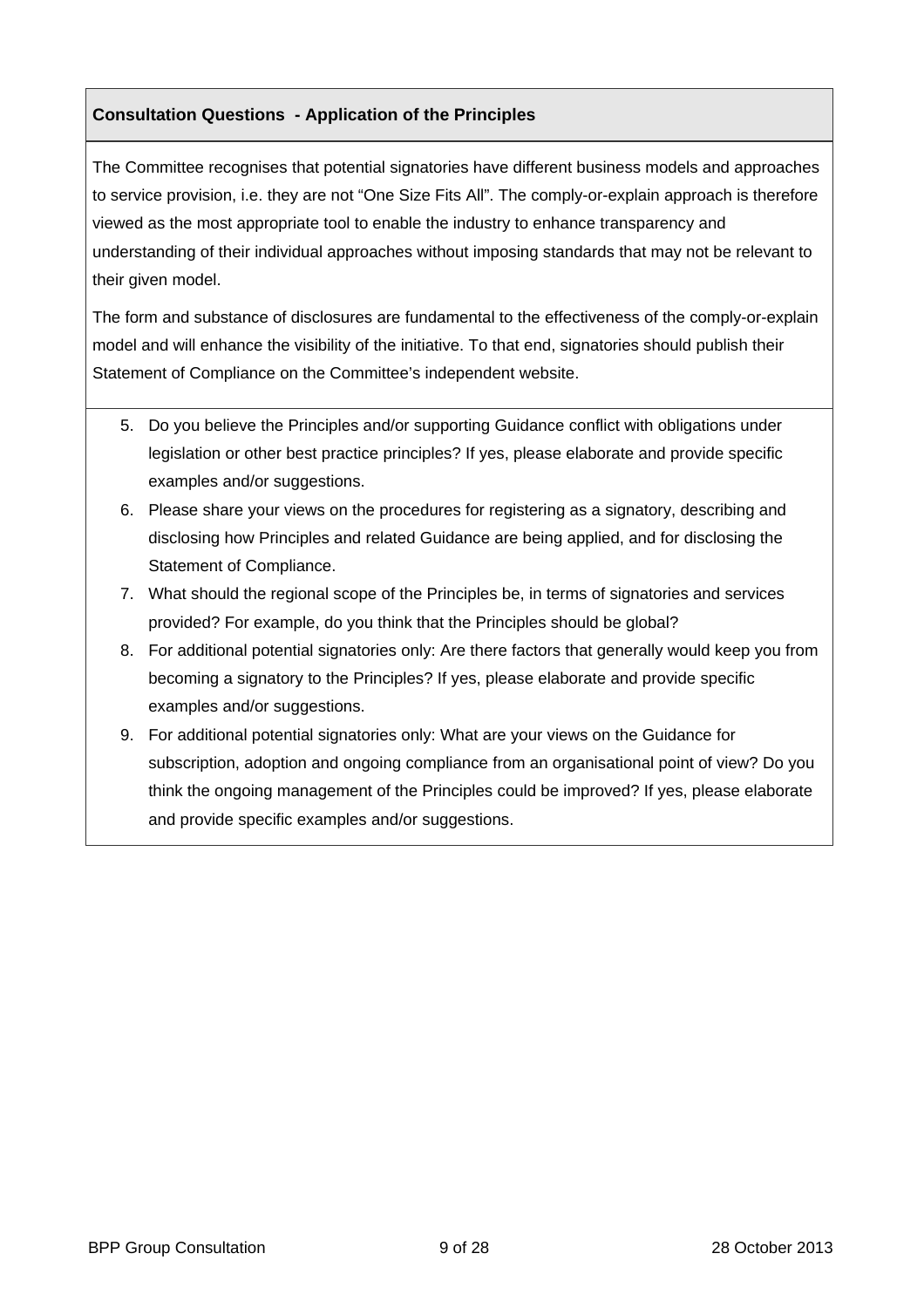## **Consultation Questions - Application of the Principles**

The Committee recognises that potential signatories have different business models and approaches to service provision, i.e. they are not "One Size Fits All". The comply-or-explain approach is therefore viewed as the most appropriate tool to enable the industry to enhance transparency and understanding of their individual approaches without imposing standards that may not be relevant to their given model.

The form and substance of disclosures are fundamental to the effectiveness of the comply-or-explain model and will enhance the visibility of the initiative. To that end, signatories should publish their Statement of Compliance on the Committee's independent website.

- 5. Do you believe the Principles and/or supporting Guidance conflict with obligations under legislation or other best practice principles? If yes, please elaborate and provide specific examples and/or suggestions.
- 6. Please share your views on the procedures for registering as a signatory, describing and disclosing how Principles and related Guidance are being applied, and for disclosing the Statement of Compliance.
- 7. What should the regional scope of the Principles be, in terms of signatories and services provided? For example, do you think that the Principles should be global?
- 8. For additional potential signatories only: Are there factors that generally would keep you from becoming a signatory to the Principles? If yes, please elaborate and provide specific examples and/or suggestions.
- 9. For additional potential signatories only: What are your views on the Guidance for subscription, adoption and ongoing compliance from an organisational point of view? Do you think the ongoing management of the Principles could be improved? If yes, please elaborate and provide specific examples and/or suggestions.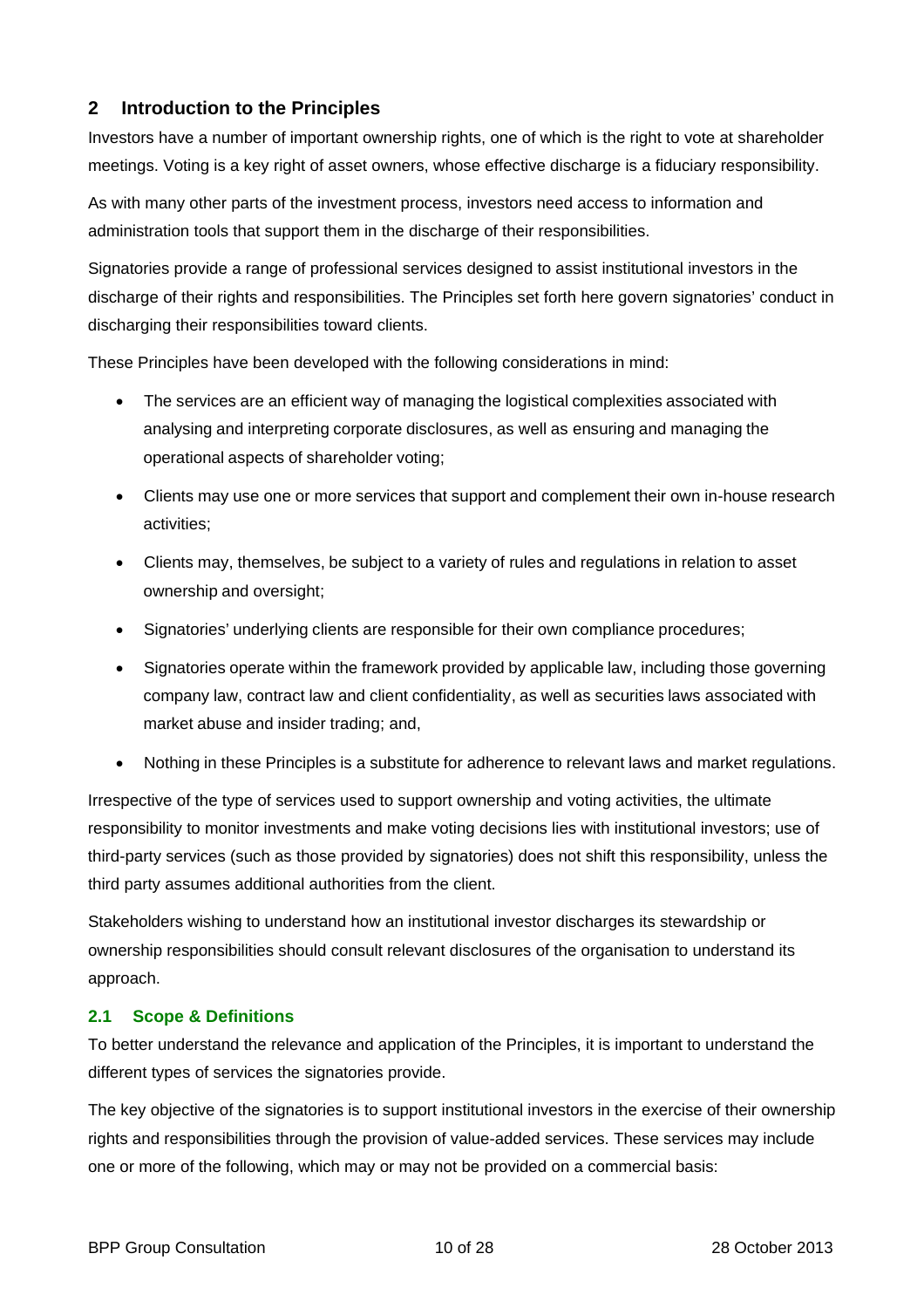## <span id="page-9-0"></span>**2 Introduction to the Principles**

Investors have a number of important ownership rights, one of which is the right to vote at shareholder meetings. Voting is a key right of asset owners, whose effective discharge is a fiduciary responsibility.

As with many other parts of the investment process, investors need access to information and administration tools that support them in the discharge of their responsibilities.

Signatories provide a range of professional services designed to assist institutional investors in the discharge of their rights and responsibilities. The Principles set forth here govern signatories' conduct in discharging their responsibilities toward clients.

These Principles have been developed with the following considerations in mind:

- The services are an efficient way of managing the logistical complexities associated with analysing and interpreting corporate disclosures, as well as ensuring and managing the operational aspects of shareholder voting;
- Clients may use one or more services that support and complement their own in-house research activities;
- Clients may, themselves, be subject to a variety of rules and regulations in relation to asset ownership and oversight;
- Signatories' underlying clients are responsible for their own compliance procedures;
- Signatories operate within the framework provided by applicable law, including those governing company law, contract law and client confidentiality, as well as securities laws associated with market abuse and insider trading; and,
- Nothing in these Principles is a substitute for adherence to relevant laws and market regulations.

Irrespective of the type of services used to support ownership and voting activities, the ultimate responsibility to monitor investments and make voting decisions lies with institutional investors; use of third-party services (such as those provided by signatories) does not shift this responsibility, unless the third party assumes additional authorities from the client.

Stakeholders wishing to understand how an institutional investor discharges its stewardship or ownership responsibilities should consult relevant disclosures of the organisation to understand its approach.

#### <span id="page-9-1"></span>**2.1 Scope & Definitions**

To better understand the relevance and application of the Principles, it is important to understand the different types of services the signatories provide.

The key objective of the signatories is to support institutional investors in the exercise of their ownership rights and responsibilities through the provision of value-added services. These services may include one or more of the following, which may or may not be provided on a commercial basis: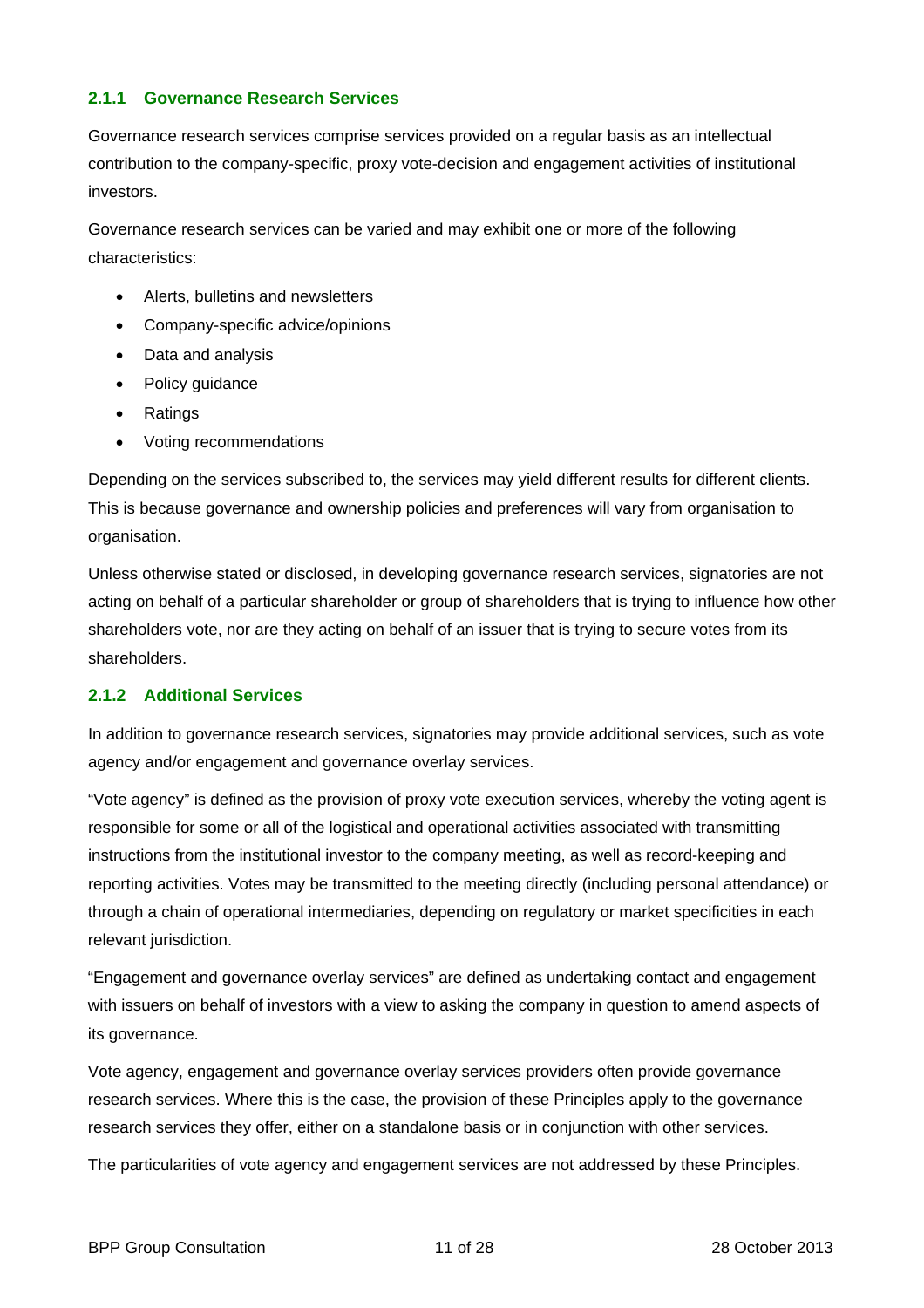#### **2.1.1 Governance Research Services**

Governance research services comprise services provided on a regular basis as an intellectual contribution to the company-specific, proxy vote-decision and engagement activities of institutional investors.

Governance research services can be varied and may exhibit one or more of the following characteristics:

- Alerts, bulletins and newsletters
- Company-specific advice/opinions
- Data and analysis
- Policy guidance
- Ratings
- Voting recommendations

Depending on the services subscribed to, the services may yield different results for different clients. This is because governance and ownership policies and preferences will vary from organisation to organisation.

Unless otherwise stated or disclosed, in developing governance research services, signatories are not acting on behalf of a particular shareholder or group of shareholders that is trying to influence how other shareholders vote, nor are they acting on behalf of an issuer that is trying to secure votes from its shareholders.

## **2.1.2 Additional Services**

In addition to governance research services, signatories may provide additional services, such as vote agency and/or engagement and governance overlay services.

"Vote agency" is defined as the provision of proxy vote execution services, whereby the voting agent is responsible for some or all of the logistical and operational activities associated with transmitting instructions from the institutional investor to the company meeting, as well as record-keeping and reporting activities. Votes may be transmitted to the meeting directly (including personal attendance) or through a chain of operational intermediaries, depending on regulatory or market specificities in each relevant jurisdiction.

"Engagement and governance overlay services" are defined as undertaking contact and engagement with issuers on behalf of investors with a view to asking the company in question to amend aspects of its governance.

Vote agency, engagement and governance overlay services providers often provide governance research services. Where this is the case, the provision of these Principles apply to the governance research services they offer, either on a standalone basis or in conjunction with other services.

The particularities of vote agency and engagement services are not addressed by these Principles.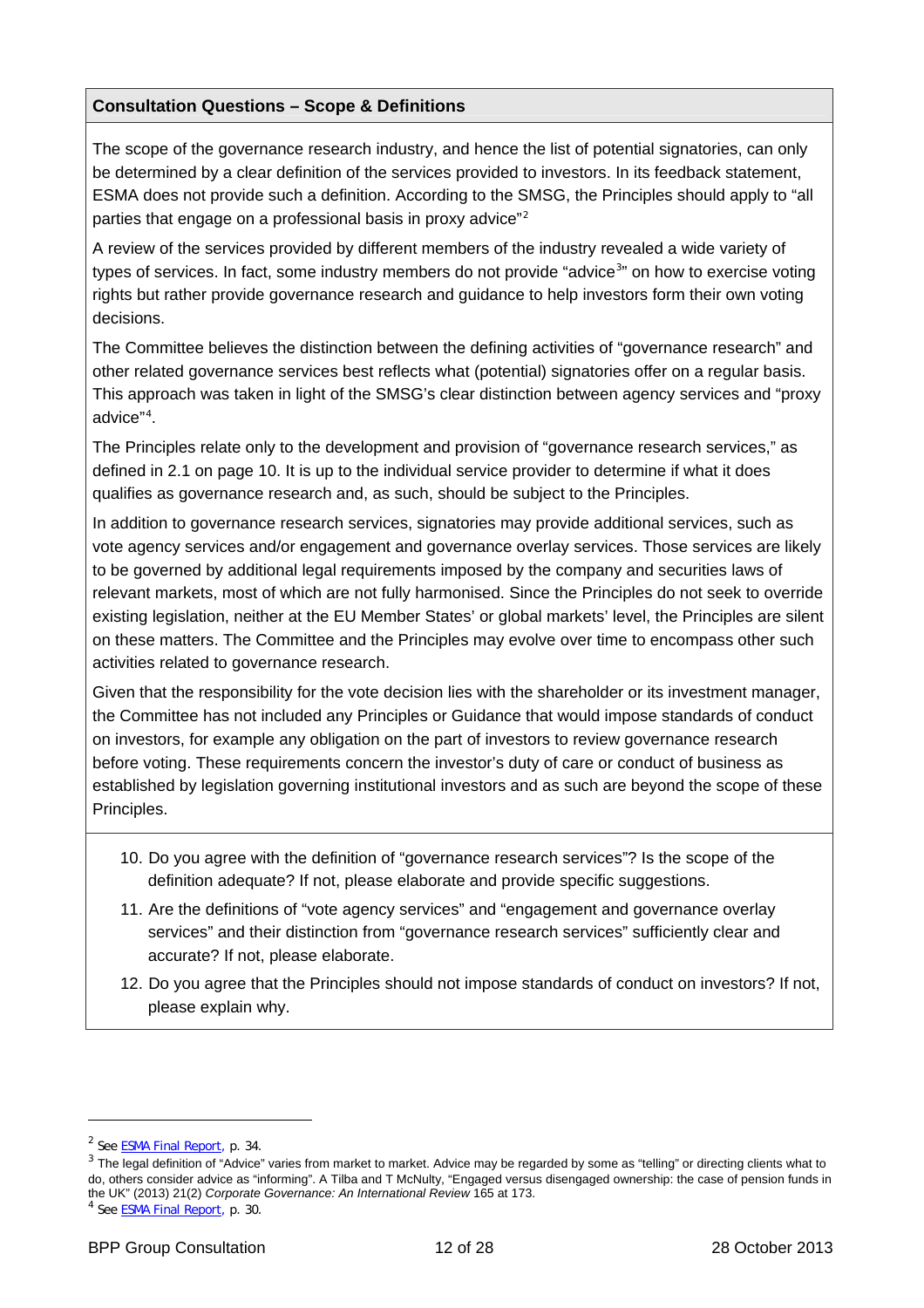#### **Consultation Questions – Scope & Definitions**

The scope of the governance research industry, and hence the list of potential signatories, can only be determined by a clear definition of the services provided to investors. In its feedback statement, ESMA does not provide such a definition. According to the SMSG, the Principles should apply to "all parties that engage on a professional basis in proxy advice $^{n_2}$  $^{n_2}$  $^{n_2}$ 

A review of the services provided by different members of the industry revealed a wide variety of types of services. In fact, some industry members do not provide "advice<sup>[3](#page-11-1)</sup>" on how to exercise voting rights but rather provide governance research and guidance to help investors form their own voting decisions.

The Committee believes the distinction between the defining activities of "governance research" and other related governance services best reflects what (potential) signatories offer on a regular basis. This approach was taken in light of the SMSG's clear distinction between agency services and "proxy advice"[4](#page-11-2) .

The Principles relate only to the development and provision of "governance research services," as defined in 2.1 [on page](#page-9-1) 1[0. It is up to the individual service provider to determine if what it does](#page-9-1)  [qualifies as governance research and, as such, should be subject to the Principles.](#page-9-1) 

In addition to governance research services, signatories may provide additional services, such as vote agency services and/or engagement and governance overlay services. Those services are likely to be governed by additional legal requirements imposed by the company and securities laws of relevant markets, most of which are not fully harmonised. Since the Principles do not seek to override existing legislation, neither at the EU Member States' or global markets' level, the Principles are silent on these matters. The Committee and the Principles may evolve over time to encompass other such activities related to governance research.

Given that the responsibility for the vote decision lies with the shareholder or its investment manager, the Committee has not included any Principles or Guidance that would impose standards of conduct on investors, for example any obligation on the part of investors to review governance research before voting. These requirements concern the investor's duty of care or conduct of business as established by legislation governing institutional investors and as such are beyond the scope of these Principles.

- 10. Do you agree with the definition of "governance research services"? Is the scope of the definition adequate? If not, please elaborate and provide specific suggestions.
- 11. Are the definitions of "vote agency services" and "engagement and governance overlay services" and their distinction from "governance research services" sufficiently clear and accurate? If not, please elaborate.
- 12. Do you agree that the Principles should not impose standards of conduct on investors? If not, please explain why.

 $\overline{a}$ 

<span id="page-11-0"></span><sup>&</sup>lt;sup>2</sup> See [ESMA Final Report,](http://www.esma.europa.eu/content/ESMA-recommends-EU-Code-Conduct-proxy-advisor-industry) p. 34.

<span id="page-11-1"></span><sup>&</sup>lt;sup>3</sup> The legal definition of "Advice" varies from market to market. Advice may be regarded by some as "telling" or directing clients what to do, others consider advice as "informing". A Tilba and T McNulty, "Engaged versus disengaged ownership: the case of pension funds in the UK" (2013) 21(2) *Corporate Governance: An International Review* 165 at 173.

<span id="page-11-2"></span><sup>4</sup> See [ESMA Final Report,](http://www.esma.europa.eu/content/ESMA-recommends-EU-Code-Conduct-proxy-advisor-industry) p. 30.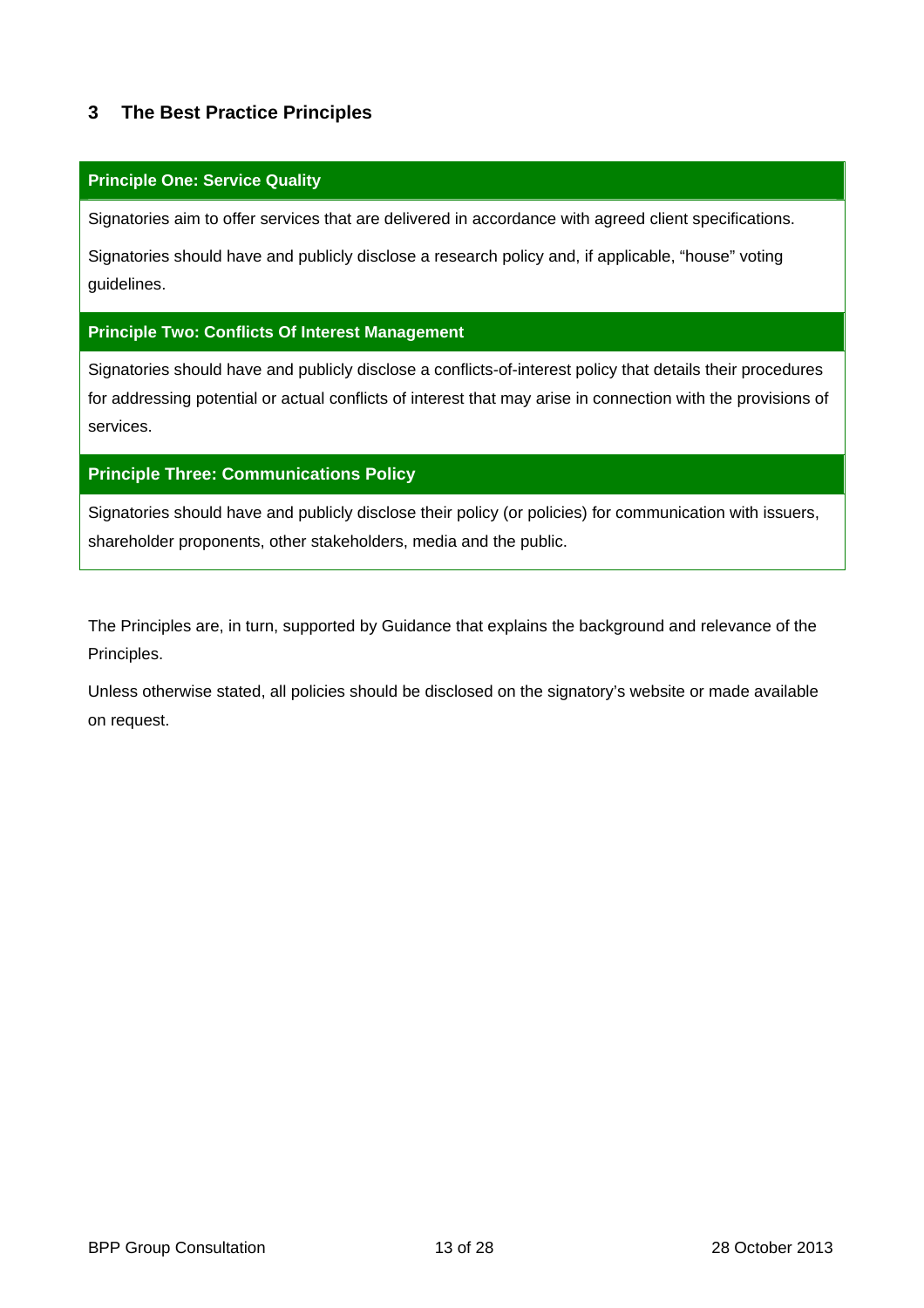## <span id="page-12-0"></span>**3 The Best Practice Principles**

#### **Principle One: Service Quality**

Signatories aim to offer services that are delivered in accordance with agreed client specifications.

Signatories should have and publicly disclose a research policy and, if applicable, "house" voting guidelines.

#### **Principle Two: Conflicts Of Interest Management**

Signatories should have and publicly disclose a conflicts-of-interest policy that details their procedures for addressing potential or actual conflicts of interest that may arise in connection with the provisions of services.

#### **Principle Three: Communications Policy**

Signatories should have and publicly disclose their policy (or policies) for communication with issuers, shareholder proponents, other stakeholders, media and the public.

The Principles are, in turn, supported by Guidance that explains the background and relevance of the Principles.

Unless otherwise stated, all policies should be disclosed on the signatory's website or made available on request.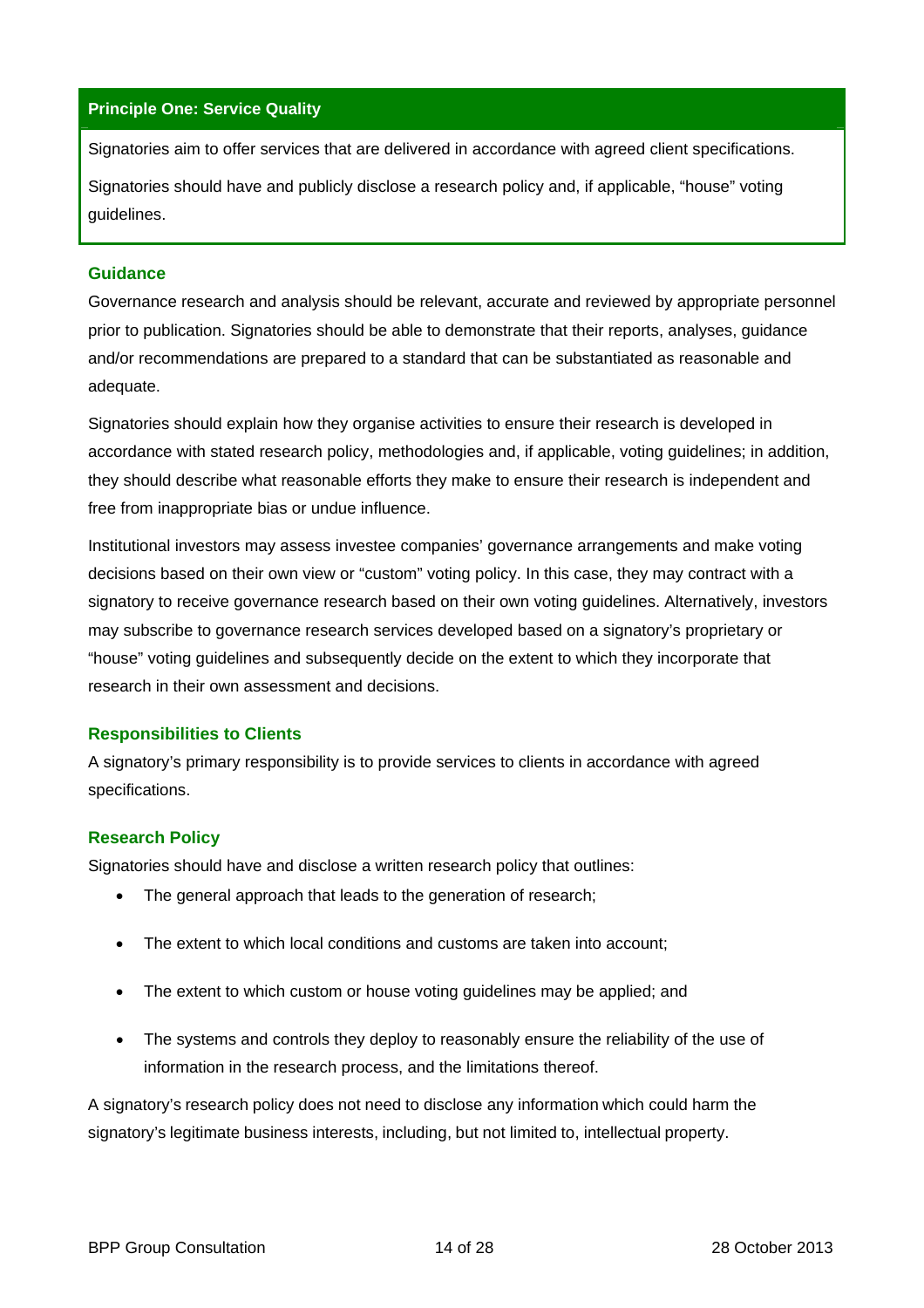#### **Principle One: Service Quality**

Signatories aim to offer services that are delivered in accordance with agreed client specifications.

Signatories should have and publicly disclose a research policy and, if applicable, "house" voting guidelines.

#### **Guidance**

Governance research and analysis should be relevant, accurate and reviewed by appropriate personnel prior to publication. Signatories should be able to demonstrate that their reports, analyses, guidance and/or recommendations are prepared to a standard that can be substantiated as reasonable and adequate.

Signatories should explain how they organise activities to ensure their research is developed in accordance with stated research policy, methodologies and, if applicable, voting guidelines; in addition, they should describe what reasonable efforts they make to ensure their research is independent and free from inappropriate bias or undue influence.

Institutional investors may assess investee companies' governance arrangements and make voting decisions based on their own view or "custom" voting policy. In this case, they may contract with a signatory to receive governance research based on their own voting guidelines. Alternatively, investors may subscribe to governance research services developed based on a signatory's proprietary or "house" voting guidelines and subsequently decide on the extent to which they incorporate that research in their own assessment and decisions.

#### **Responsibilities to Clients**

A signatory's primary responsibility is to provide services to clients in accordance with agreed specifications.

#### **Research Policy**

Signatories should have and disclose a written research policy that outlines:

- The general approach that leads to the generation of research;
- The extent to which local conditions and customs are taken into account;
- The extent to which custom or house voting guidelines may be applied; and
- The systems and controls they deploy to reasonably ensure the reliability of the use of information in the research process, and the limitations thereof.

A signatory's research policy does not need to disclose any information which could harm the signatory's legitimate business interests, including, but not limited to, intellectual property.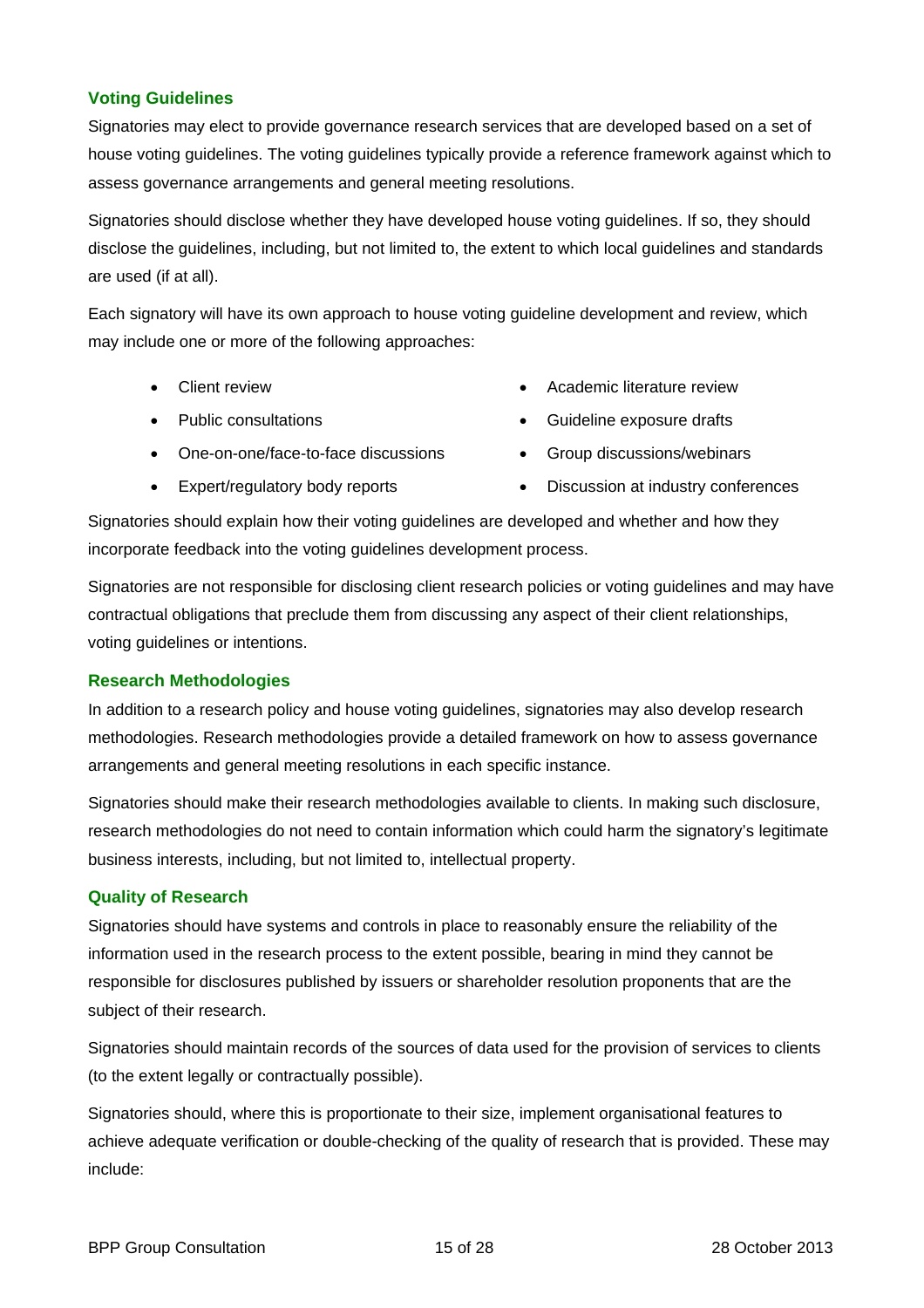#### **Voting Guidelines**

Signatories may elect to provide governance research services that are developed based on a set of house voting guidelines. The voting guidelines typically provide a reference framework against which to assess governance arrangements and general meeting resolutions.

Signatories should disclose whether they have developed house voting guidelines. If so, they should disclose the guidelines, including, but not limited to, the extent to which local guidelines and standards are used (if at all).

Each signatory will have its own approach to house voting guideline development and review, which may include one or more of the following approaches:

- 
- 
- One-on-one/face-to-face discussions Group discussions/webinars
- 
- Client review **Academic literature review Academic literature review**
- Public consultations **COV COVID-10** Cuideline exposure drafts
	-
- Expert/regulatory body reports **•** Discussion at industry conferences

Signatories should explain how their voting guidelines are developed and whether and how they incorporate feedback into the voting guidelines development process.

Signatories are not responsible for disclosing client research policies or voting guidelines and may have contractual obligations that preclude them from discussing any aspect of their client relationships, voting guidelines or intentions.

#### **Research Methodologies**

In addition to a research policy and house voting guidelines, signatories may also develop research methodologies. Research methodologies provide a detailed framework on how to assess governance arrangements and general meeting resolutions in each specific instance.

Signatories should make their research methodologies available to clients. In making such disclosure, research methodologies do not need to contain information which could harm the signatory's legitimate business interests, including, but not limited to, intellectual property.

#### **Quality of Research**

Signatories should have systems and controls in place to reasonably ensure the reliability of the information used in the research process to the extent possible, bearing in mind they cannot be responsible for disclosures published by issuers or shareholder resolution proponents that are the subject of their research.

Signatories should maintain records of the sources of data used for the provision of services to clients (to the extent legally or contractually possible).

Signatories should, where this is proportionate to their size, implement organisational features to achieve adequate verification or double-checking of the quality of research that is provided. These may include: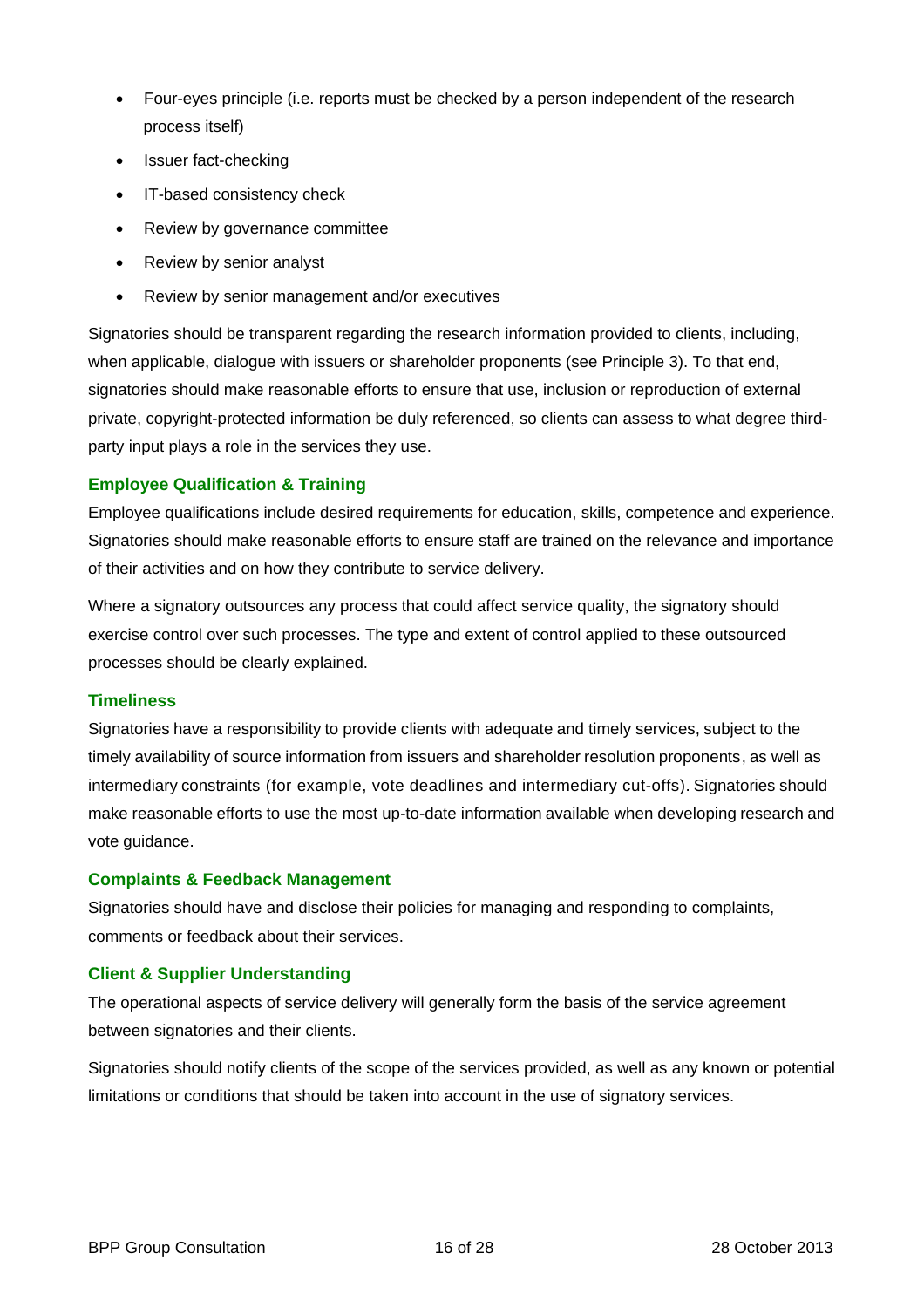- Four-eyes principle (i.e. reports must be checked by a person independent of the research process itself)
- Issuer fact-checking
- IT-based consistency check
- Review by governance committee
- Review by senior analyst
- Review by senior management and/or executives

Signatories should be transparent regarding the research information provided to clients, including, when applicable, dialogue with issuers or shareholder proponents (see Principle 3). To that end, signatories should make reasonable efforts to ensure that use, inclusion or reproduction of external private, copyright-protected information be duly referenced, so clients can assess to what degree thirdparty input plays a role in the services they use.

#### **Employee Qualification & Training**

Employee qualifications include desired requirements for education, skills, competence and experience. Signatories should make reasonable efforts to ensure staff are trained on the relevance and importance of their activities and on how they contribute to service delivery.

Where a signatory outsources any process that could affect service quality, the signatory should exercise control over such processes. The type and extent of control applied to these outsourced processes should be clearly explained.

#### **Timeliness**

Signatories have a responsibility to provide clients with adequate and timely services, subject to the timely availability of source information from issuers and shareholder resolution proponents, as well as intermediary constraints (for example, vote deadlines and intermediary cut-offs). Signatories should make reasonable efforts to use the most up-to-date information available when developing research and vote guidance.

#### **Complaints & Feedback Management**

Signatories should have and disclose their policies for managing and responding to complaints, comments or feedback about their services.

#### **Client & Supplier Understanding**

The operational aspects of service delivery will generally form the basis of the service agreement between signatories and their clients.

Signatories should notify clients of the scope of the services provided, as well as any known or potential limitations or conditions that should be taken into account in the use of signatory services.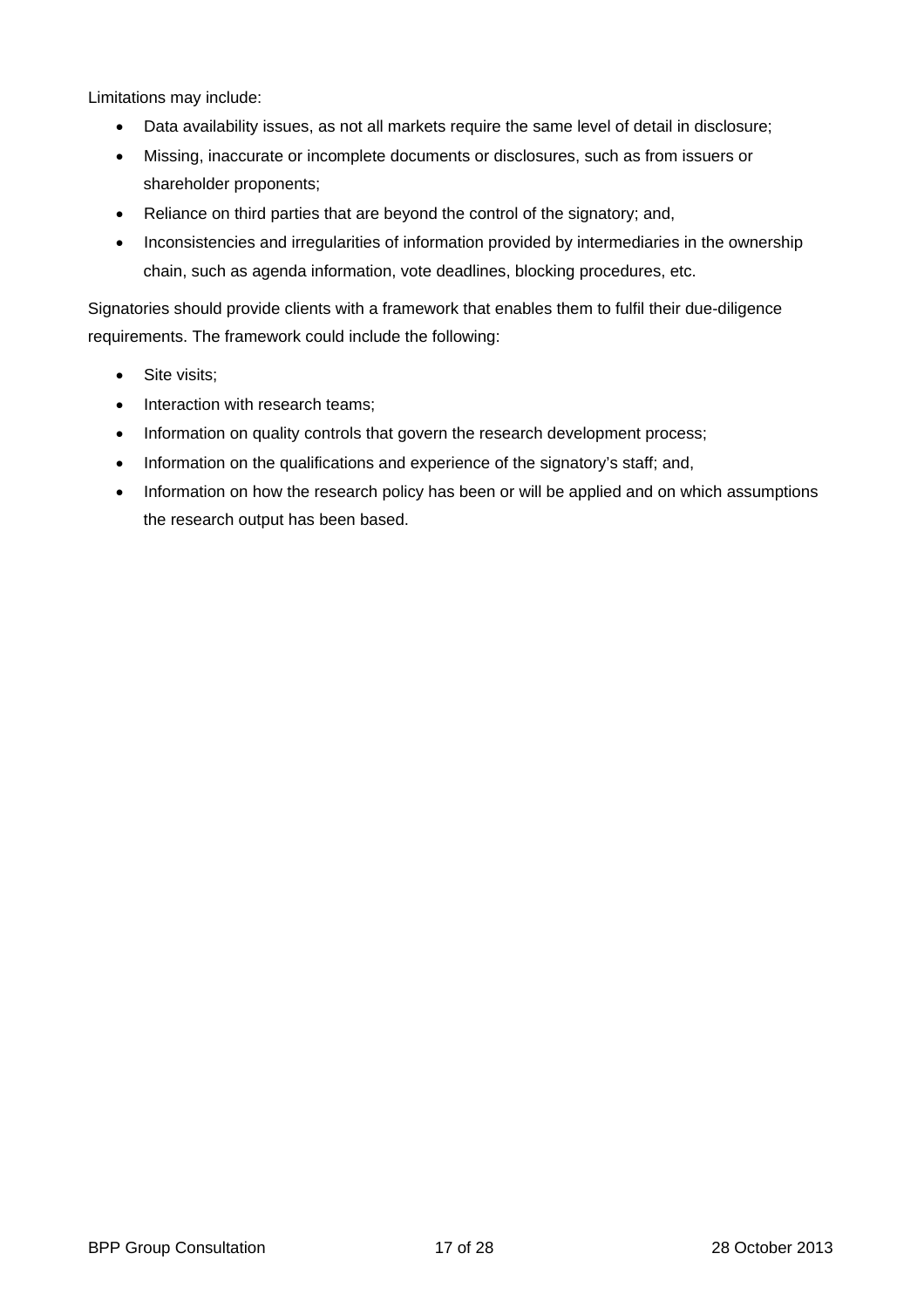Limitations may include:

- Data availability issues, as not all markets require the same level of detail in disclosure;
- Missing, inaccurate or incomplete documents or disclosures, such as from issuers or shareholder proponents;
- Reliance on third parties that are beyond the control of the signatory; and,
- Inconsistencies and irregularities of information provided by intermediaries in the ownership chain, such as agenda information, vote deadlines, blocking procedures, etc.

Signatories should provide clients with a framework that enables them to fulfil their due-diligence requirements. The framework could include the following:

- Site visits;
- Interaction with research teams;
- Information on quality controls that govern the research development process;
- Information on the qualifications and experience of the signatory's staff; and,
- Information on how the research policy has been or will be applied and on which assumptions the research output has been based.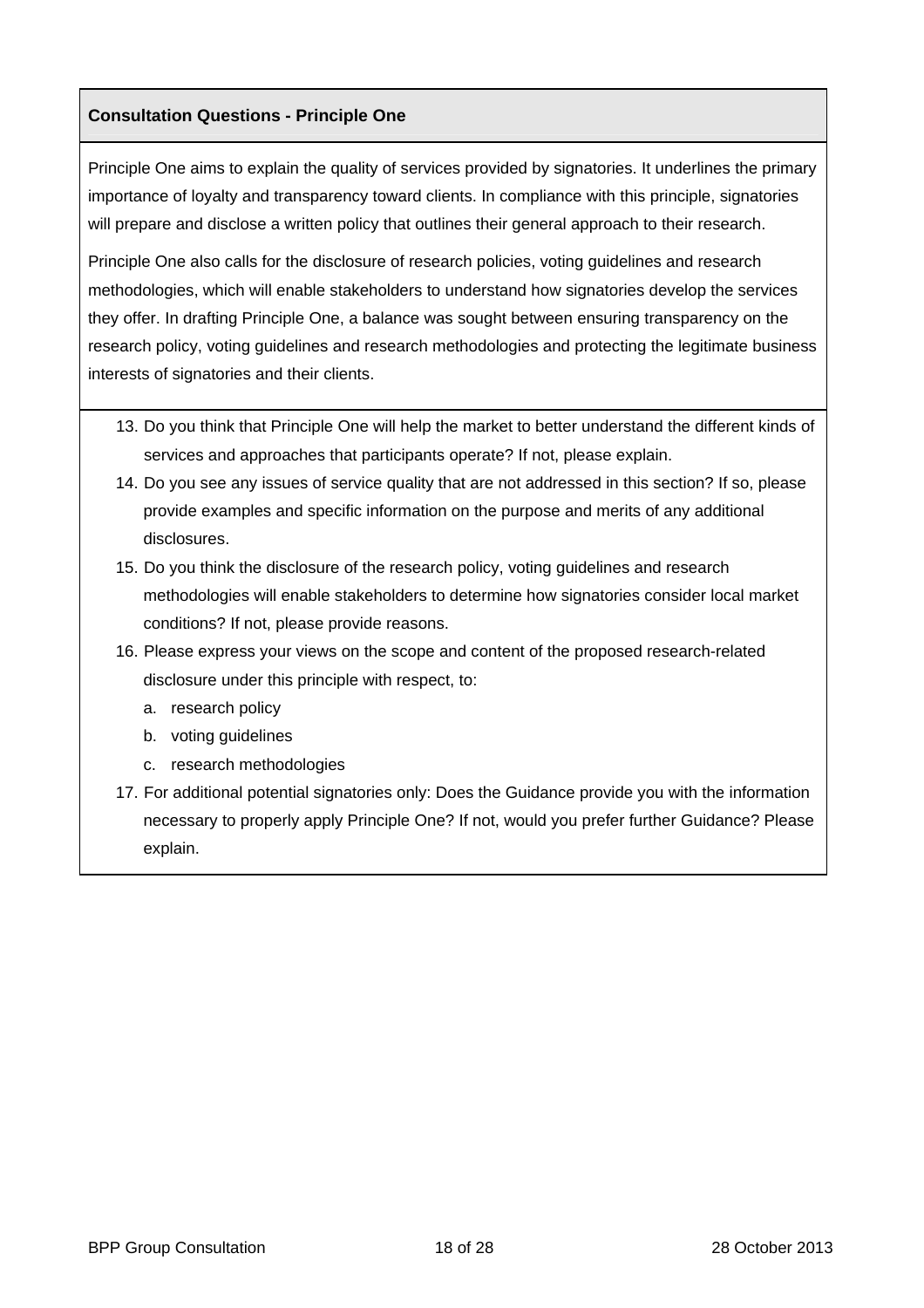## **Consultation Questions - Principle One**

Principle One aims to explain the quality of services provided by signatories. It underlines the primary importance of loyalty and transparency toward clients. In compliance with this principle, signatories will prepare and disclose a written policy that outlines their general approach to their research.

Principle One also calls for the disclosure of research policies, voting guidelines and research methodologies, which will enable stakeholders to understand how signatories develop the services they offer. In drafting Principle One, a balance was sought between ensuring transparency on the research policy, voting guidelines and research methodologies and protecting the legitimate business interests of signatories and their clients.

- 13. Do you think that Principle One will help the market to better understand the different kinds of services and approaches that participants operate? If not, please explain.
- 14. Do you see any issues of service quality that are not addressed in this section? If so, please provide examples and specific information on the purpose and merits of any additional disclosures.
- 15. Do you think the disclosure of the research policy, voting guidelines and research methodologies will enable stakeholders to determine how signatories consider local market conditions? If not, please provide reasons.
- 16. Please express your views on the scope and content of the proposed research-related disclosure under this principle with respect, to:
	- a. research policy
	- b. voting guidelines
	- c. research methodologies
- 17. For additional potential signatories only: Does the Guidance provide you with the information necessary to properly apply Principle One? If not, would you prefer further Guidance? Please explain.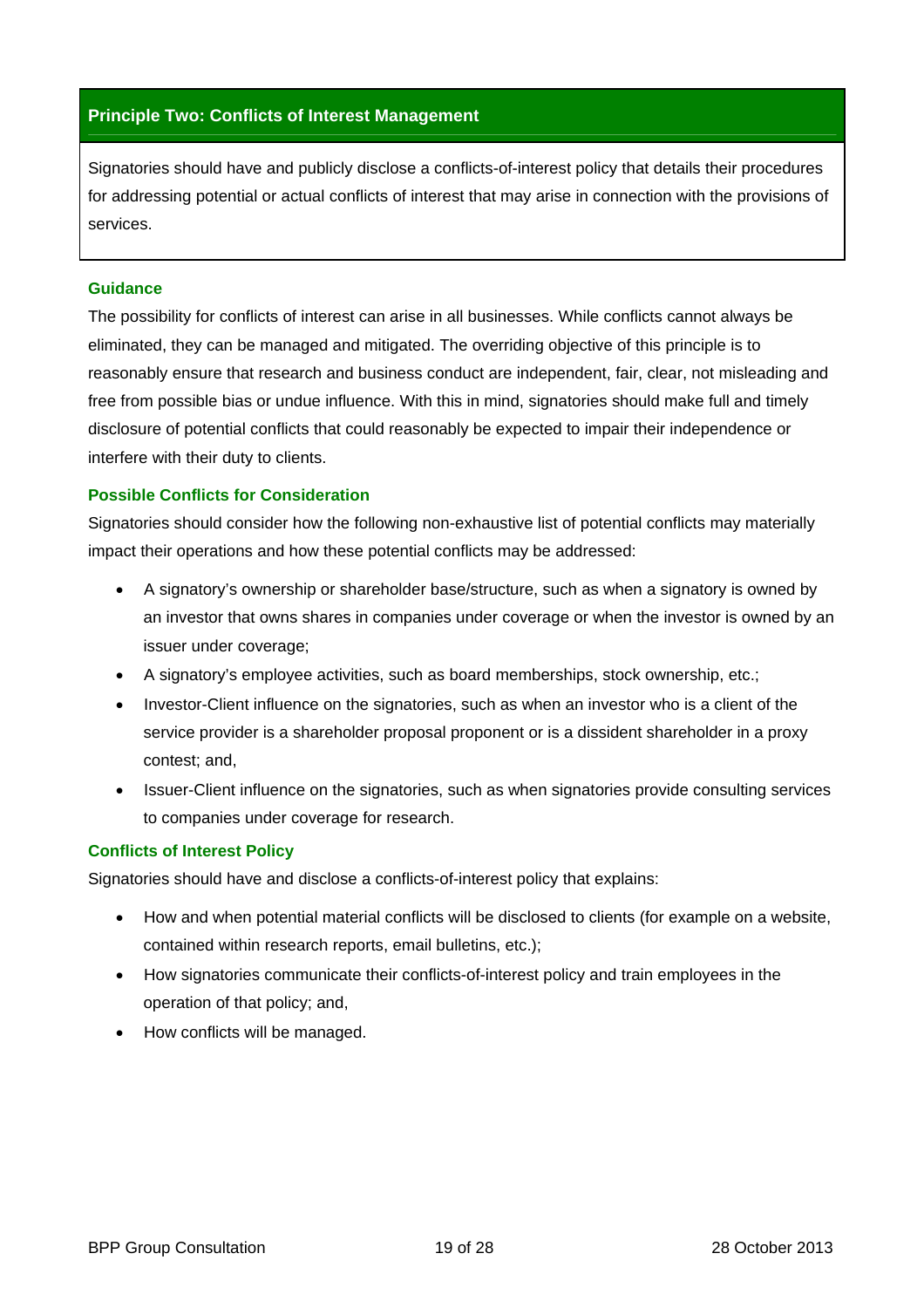#### **Principle Two: Conflicts of Interest Management**

Signatories should have and publicly disclose a conflicts-of-interest policy that details their procedures for addressing potential or actual conflicts of interest that may arise in connection with the provisions of services.

#### **Guidance**

The possibility for conflicts of interest can arise in all businesses. While conflicts cannot always be eliminated, they can be managed and mitigated. The overriding objective of this principle is to reasonably ensure that research and business conduct are independent, fair, clear, not misleading and free from possible bias or undue influence. With this in mind, signatories should make full and timely disclosure of potential conflicts that could reasonably be expected to impair their independence or interfere with their duty to clients.

#### **Possible Conflicts for Consideration**

Signatories should consider how the following non-exhaustive list of potential conflicts may materially impact their operations and how these potential conflicts may be addressed:

- A signatory's ownership or shareholder base/structure, such as when a signatory is owned by an investor that owns shares in companies under coverage or when the investor is owned by an issuer under coverage;
- A signatory's employee activities, such as board memberships, stock ownership, etc.;
- Investor-Client influence on the signatories, such as when an investor who is a client of the service provider is a shareholder proposal proponent or is a dissident shareholder in a proxy contest; and,
- Issuer-Client influence on the signatories, such as when signatories provide consulting services to companies under coverage for research.

#### **Conflicts of Interest Policy**

Signatories should have and disclose a conflicts-of-interest policy that explains:

- How and when potential material conflicts will be disclosed to clients (for example on a website, contained within research reports, email bulletins, etc.);
- How signatories communicate their conflicts-of-interest policy and train employees in the operation of that policy; and,
- How conflicts will be managed.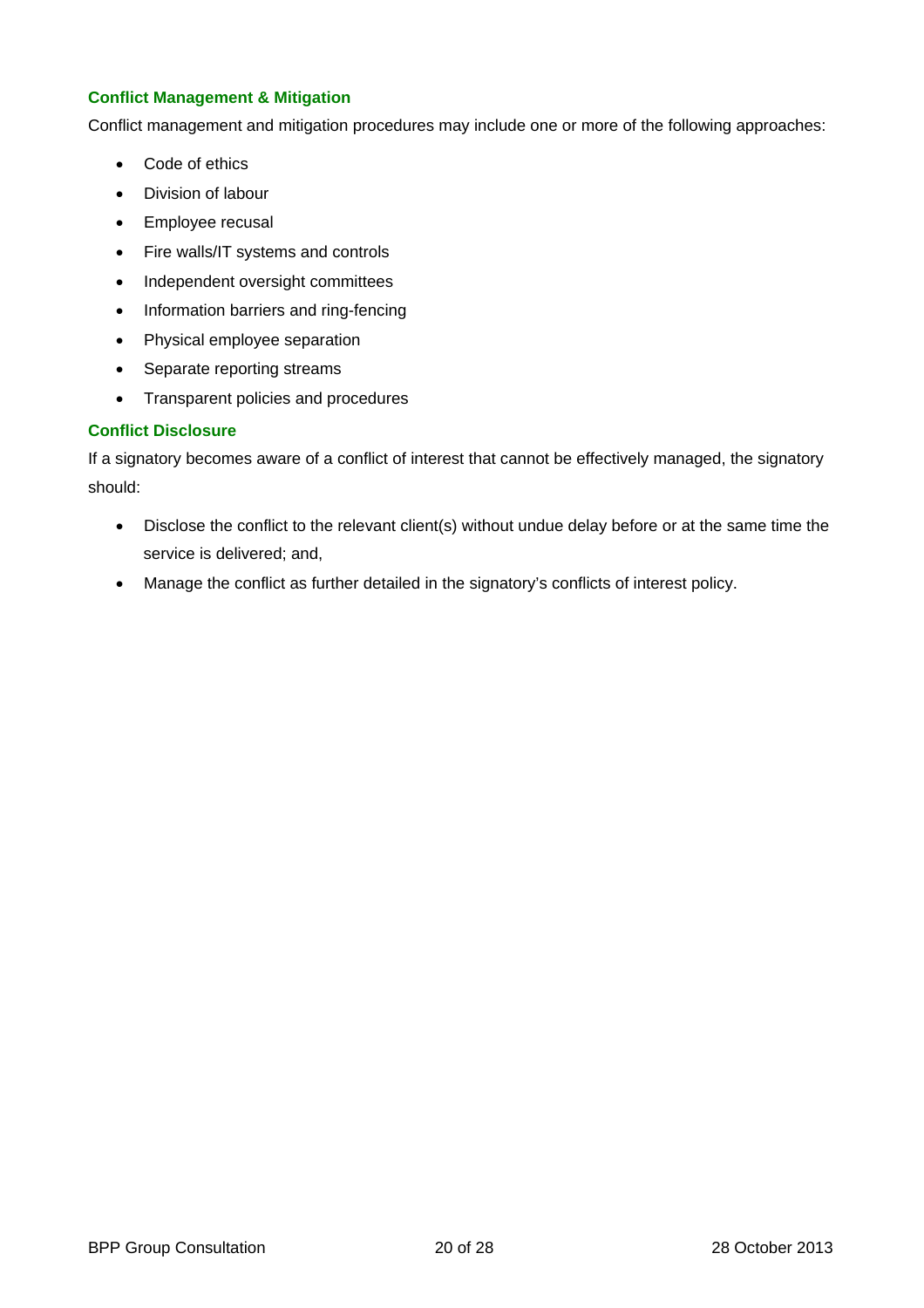#### **Conflict Management & Mitigation**

Conflict management and mitigation procedures may include one or more of the following approaches:

- Code of ethics
- Division of labour
- Employee recusal
- Fire walls/IT systems and controls
- Independent oversight committees
- Information barriers and ring-fencing
- Physical employee separation
- Separate reporting streams
- Transparent policies and procedures

#### **Conflict Disclosure**

If a signatory becomes aware of a conflict of interest that cannot be effectively managed, the signatory should:

- Disclose the conflict to the relevant client(s) without undue delay before or at the same time the service is delivered; and,
- Manage the conflict as further detailed in the signatory's conflicts of interest policy.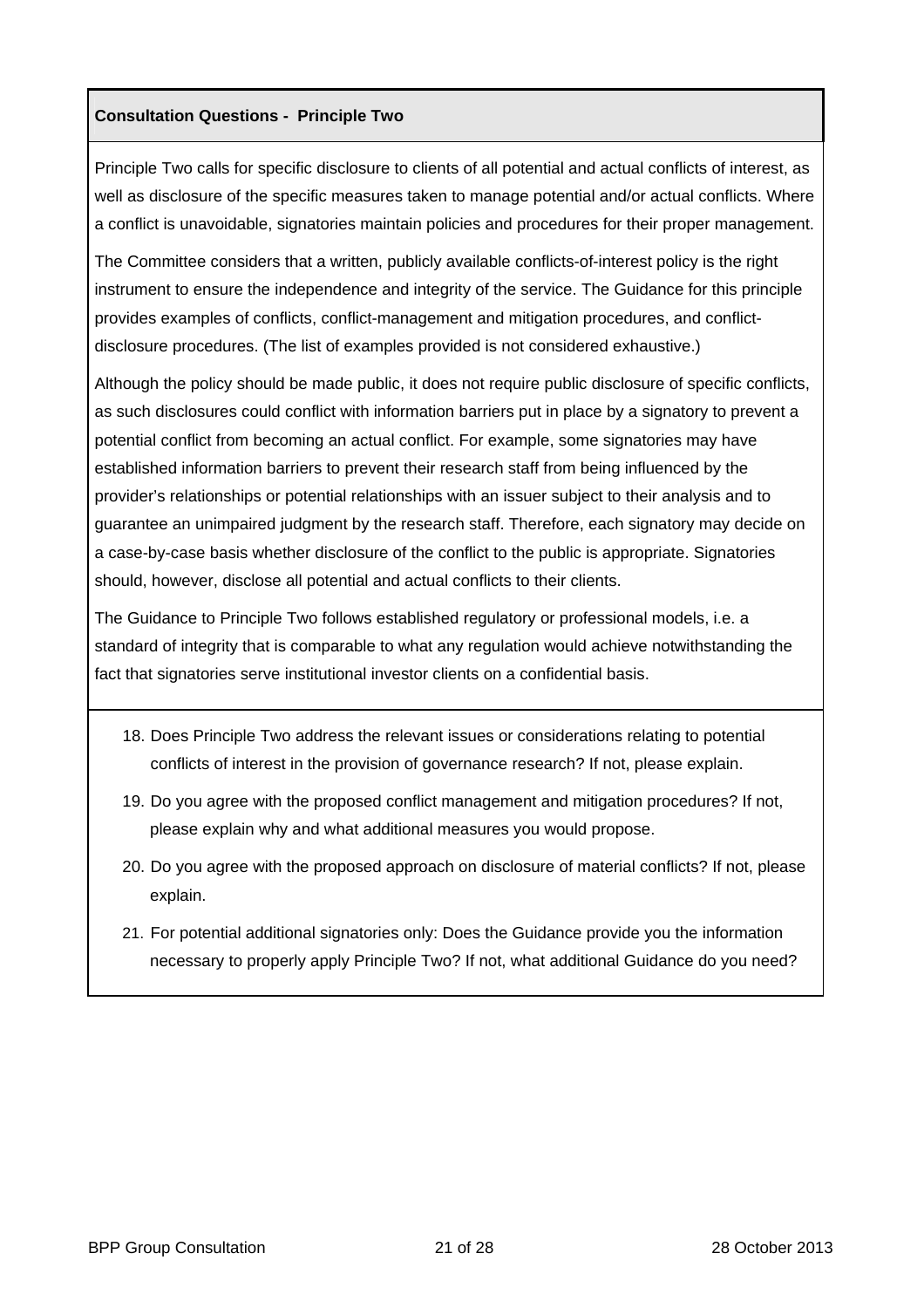#### **Consultation Questions - Principle Two**

Principle Two calls for specific disclosure to clients of all potential and actual conflicts of interest, as well as disclosure of the specific measures taken to manage potential and/or actual conflicts. Where a conflict is unavoidable, signatories maintain policies and procedures for their proper management.

The Committee considers that a written, publicly available conflicts-of-interest policy is the right instrument to ensure the independence and integrity of the service. The Guidance for this principle provides examples of conflicts, conflict-management and mitigation procedures, and conflictdisclosure procedures. (The list of examples provided is not considered exhaustive.)

Although the policy should be made public, it does not require public disclosure of specific conflicts, as such disclosures could conflict with information barriers put in place by a signatory to prevent a potential conflict from becoming an actual conflict. For example, some signatories may have established information barriers to prevent their research staff from being influenced by the provider's relationships or potential relationships with an issuer subject to their analysis and to guarantee an unimpaired judgment by the research staff. Therefore, each signatory may decide on a case-by-case basis whether disclosure of the conflict to the public is appropriate. Signatories should, however, disclose all potential and actual conflicts to their clients.

The Guidance to Principle Two follows established regulatory or professional models, i.e. a standard of integrity that is comparable to what any regulation would achieve notwithstanding the fact that signatories serve institutional investor clients on a confidential basis.

- 18. Does Principle Two address the relevant issues or considerations relating to potential conflicts of interest in the provision of governance research? If not, please explain.
- 19. Do you agree with the proposed conflict management and mitigation procedures? If not, please explain why and what additional measures you would propose.
- 20. Do you agree with the proposed approach on disclosure of material conflicts? If not, please explain.
- 21. For potential additional signatories only: Does the Guidance provide you the information necessary to properly apply Principle Two? If not, what additional Guidance do you need?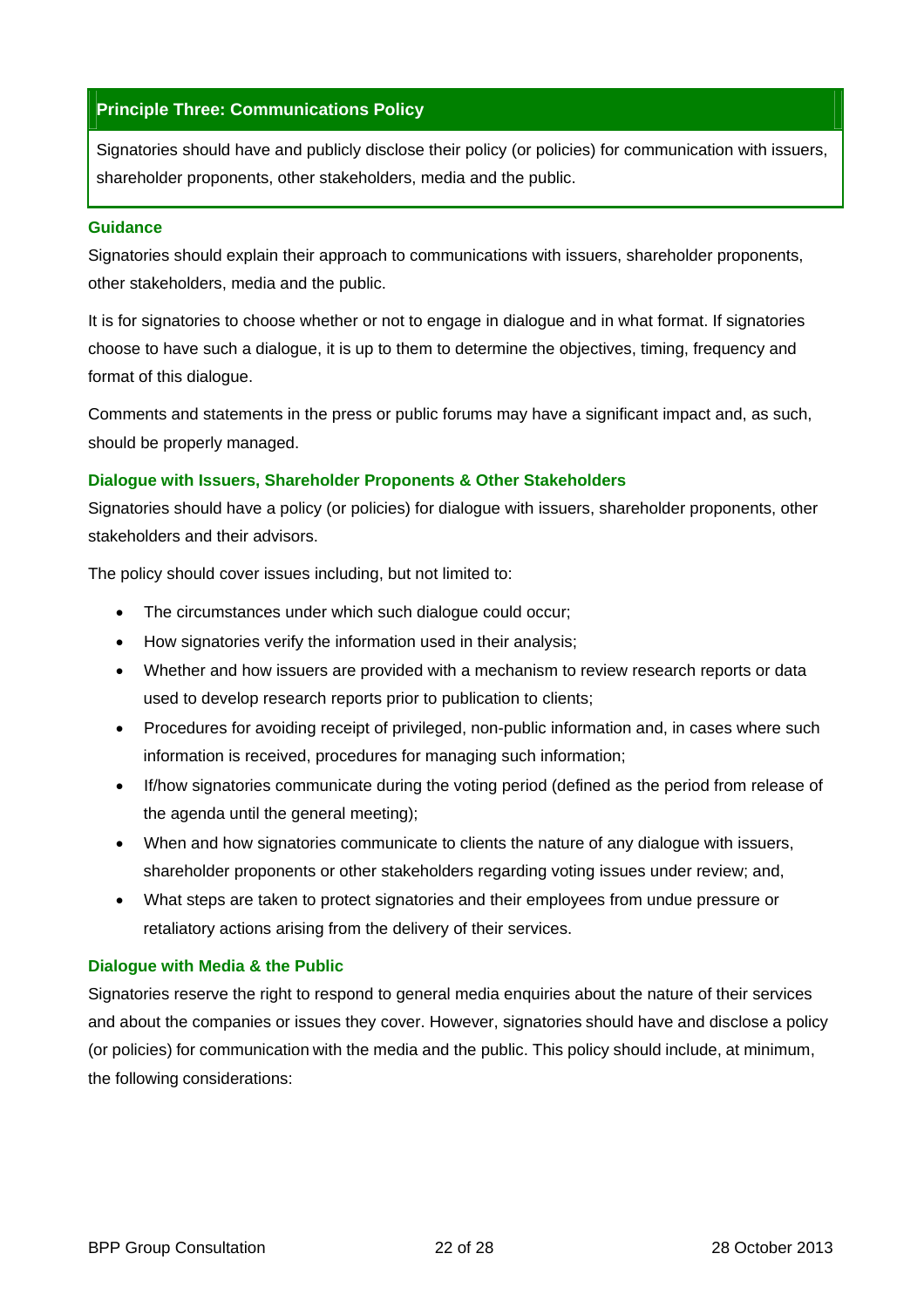## **Principle Three: Communications Policy**

Signatories should have and publicly disclose their policy (or policies) for communication with issuers, shareholder proponents, other stakeholders, media and the public.

#### **Guidance**

Signatories should explain their approach to communications with issuers, shareholder proponents, other stakeholders, media and the public.

It is for signatories to choose whether or not to engage in dialogue and in what format. If signatories choose to have such a dialogue, it is up to them to determine the objectives, timing, frequency and format of this dialogue.

Comments and statements in the press or public forums may have a significant impact and, as such, should be properly managed.

#### **Dialogue with Issuers, Shareholder Proponents & Other Stakeholders**

Signatories should have a policy (or policies) for dialogue with issuers, shareholder proponents, other stakeholders and their advisors.

The policy should cover issues including, but not limited to:

- The circumstances under which such dialogue could occur;
- How signatories verify the information used in their analysis;
- Whether and how issuers are provided with a mechanism to review research reports or data used to develop research reports prior to publication to clients;
- Procedures for avoiding receipt of privileged, non-public information and, in cases where such information is received, procedures for managing such information;
- If/how signatories communicate during the voting period (defined as the period from release of the agenda until the general meeting);
- When and how signatories communicate to clients the nature of any dialogue with issuers, shareholder proponents or other stakeholders regarding voting issues under review; and,
- What steps are taken to protect signatories and their employees from undue pressure or retaliatory actions arising from the delivery of their services.

#### **Dialogue with Media & the Public**

Signatories reserve the right to respond to general media enquiries about the nature of their services and about the companies or issues they cover. However, signatories should have and disclose a policy (or policies) for communication with the media and the public. This policy should include, at minimum, the following considerations: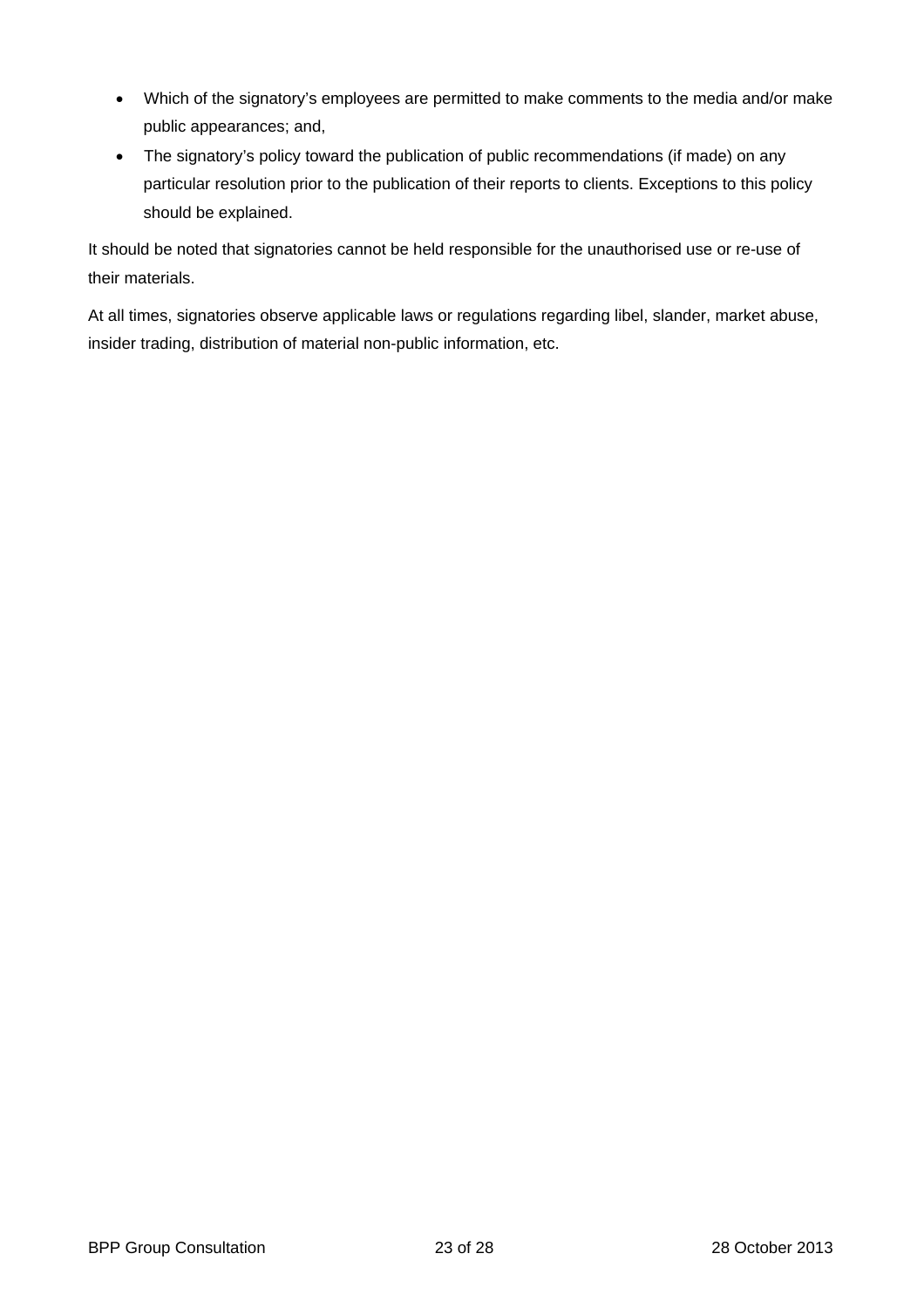- Which of the signatory's employees are permitted to make comments to the media and/or make public appearances; and,
- The signatory's policy toward the publication of public recommendations (if made) on any particular resolution prior to the publication of their reports to clients. Exceptions to this policy should be explained.

It should be noted that signatories cannot be held responsible for the unauthorised use or re-use of their materials.

At all times, signatories observe applicable laws or regulations regarding libel, slander, market abuse, insider trading, distribution of material non-public information, etc.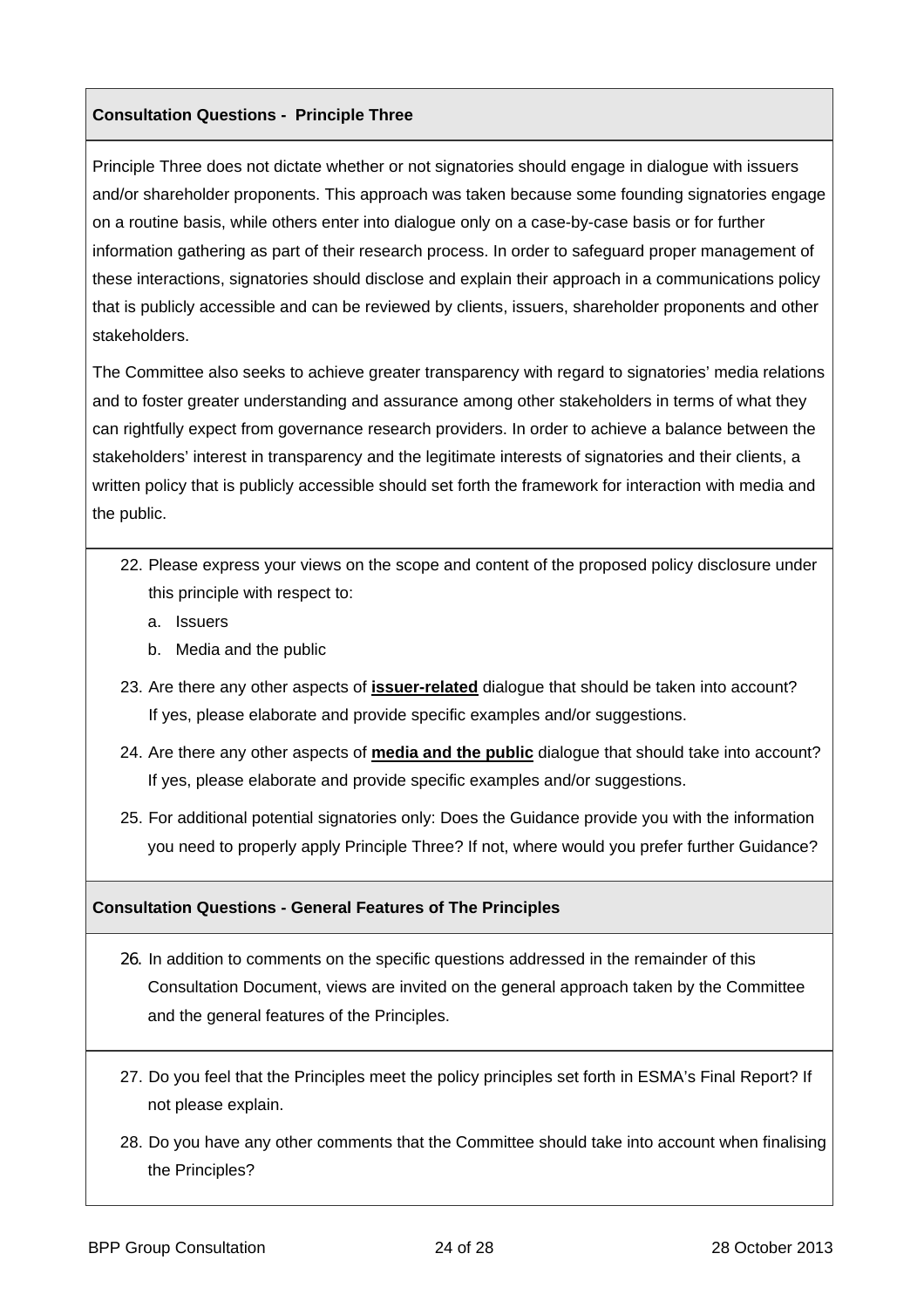#### **Consultation Questions - Principle Three**

Principle Three does not dictate whether or not signatories should engage in dialogue with issuers and/or shareholder proponents. This approach was taken because some founding signatories engage on a routine basis, while others enter into dialogue only on a case-by-case basis or for further information gathering as part of their research process. In order to safeguard proper management of these interactions, signatories should disclose and explain their approach in a communications policy that is publicly accessible and can be reviewed by clients, issuers, shareholder proponents and other stakeholders.

The Committee also seeks to achieve greater transparency with regard to signatories' media relations and to foster greater understanding and assurance among other stakeholders in terms of what they can rightfully expect from governance research providers. In order to achieve a balance between the stakeholders' interest in transparency and the legitimate interests of signatories and their clients, a written policy that is publicly accessible should set forth the framework for interaction with media and the public.

- 22. Please express your views on the scope and content of the proposed policy disclosure under this principle with respect to:
	- a. Issuers
	- b. Media and the public
- 23. Are there any other aspects of **issuer-related** dialogue that should be taken into account? If yes, please elaborate and provide specific examples and/or suggestions.
- 24. Are there any other aspects of **media and the public** dialogue that should take into account? If yes, please elaborate and provide specific examples and/or suggestions.
- 25. For additional potential signatories only: Does the Guidance provide you with the information you need to properly apply Principle Three? If not, where would you prefer further Guidance?

#### **Consultation Questions - General Features of The Principles**

- 26. In addition to comments on the specific questions addressed in the remainder of this Consultation Document, views are invited on the general approach taken by the Committee and the general features of the Principles.
- 27. Do you feel that the Principles meet the policy principles set forth in ESMA's Final Report? If not please explain.
- 28. Do you have any other comments that the Committee should take into account when finalising the Principles?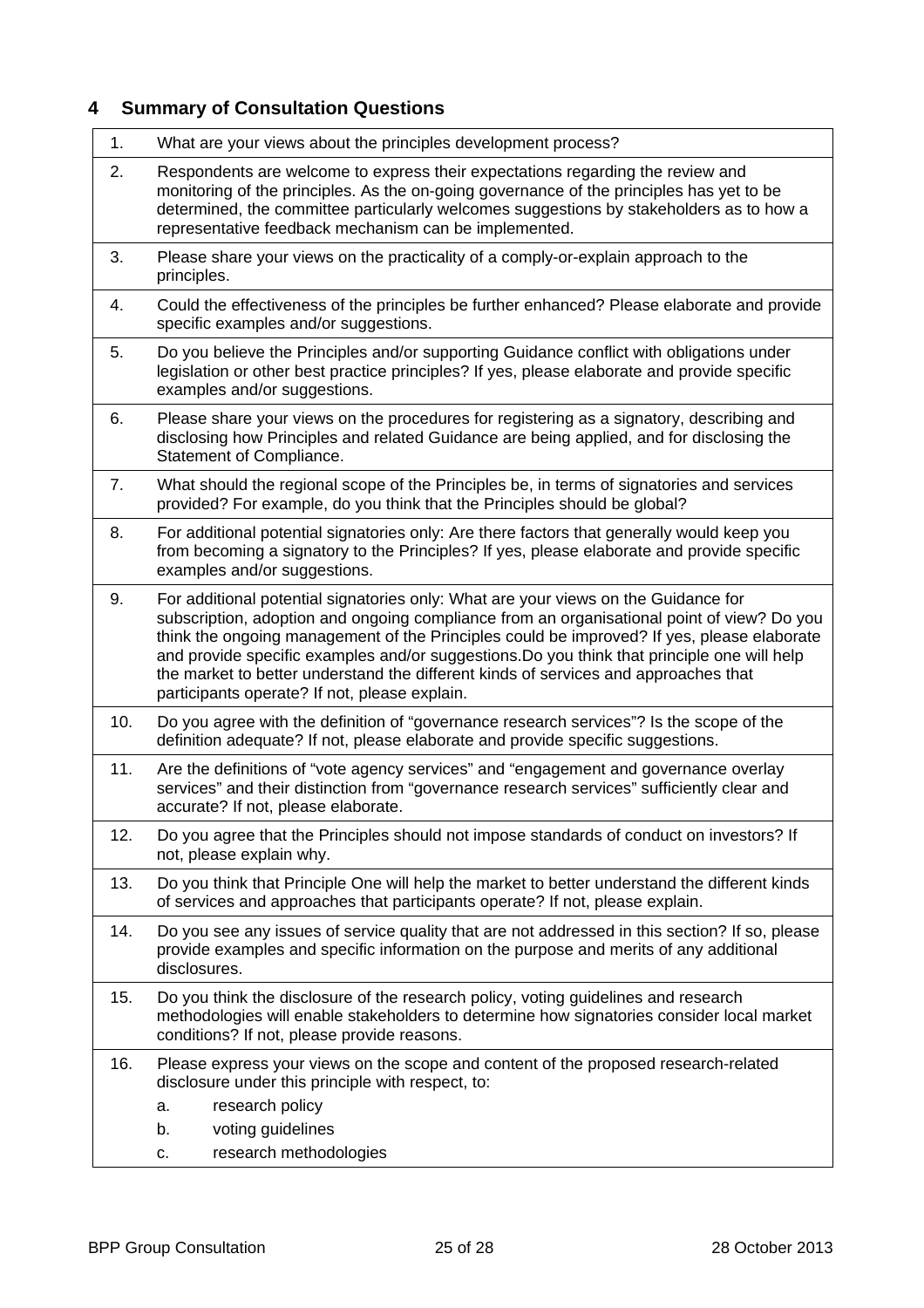## <span id="page-24-1"></span><span id="page-24-0"></span>**4 Summary of Consultation Questions**

| 1.  | What are your views about the principles development process?                                                                                                                                                                                                                                                                                                                                                                                                                                                         |  |
|-----|-----------------------------------------------------------------------------------------------------------------------------------------------------------------------------------------------------------------------------------------------------------------------------------------------------------------------------------------------------------------------------------------------------------------------------------------------------------------------------------------------------------------------|--|
| 2.  | Respondents are welcome to express their expectations regarding the review and<br>monitoring of the principles. As the on-going governance of the principles has yet to be<br>determined, the committee particularly welcomes suggestions by stakeholders as to how a<br>representative feedback mechanism can be implemented.                                                                                                                                                                                        |  |
| 3.  | Please share your views on the practicality of a comply-or-explain approach to the<br>principles.                                                                                                                                                                                                                                                                                                                                                                                                                     |  |
| 4.  | Could the effectiveness of the principles be further enhanced? Please elaborate and provide<br>specific examples and/or suggestions.                                                                                                                                                                                                                                                                                                                                                                                  |  |
| 5.  | Do you believe the Principles and/or supporting Guidance conflict with obligations under<br>legislation or other best practice principles? If yes, please elaborate and provide specific<br>examples and/or suggestions.                                                                                                                                                                                                                                                                                              |  |
| 6.  | Please share your views on the procedures for registering as a signatory, describing and<br>disclosing how Principles and related Guidance are being applied, and for disclosing the<br>Statement of Compliance.                                                                                                                                                                                                                                                                                                      |  |
| 7.  | What should the regional scope of the Principles be, in terms of signatories and services<br>provided? For example, do you think that the Principles should be global?                                                                                                                                                                                                                                                                                                                                                |  |
| 8.  | For additional potential signatories only: Are there factors that generally would keep you<br>from becoming a signatory to the Principles? If yes, please elaborate and provide specific<br>examples and/or suggestions.                                                                                                                                                                                                                                                                                              |  |
| 9.  | For additional potential signatories only: What are your views on the Guidance for<br>subscription, adoption and ongoing compliance from an organisational point of view? Do you<br>think the ongoing management of the Principles could be improved? If yes, please elaborate<br>and provide specific examples and/or suggestions. Do you think that principle one will help<br>the market to better understand the different kinds of services and approaches that<br>participants operate? If not, please explain. |  |
| 10. | Do you agree with the definition of "governance research services"? Is the scope of the<br>definition adequate? If not, please elaborate and provide specific suggestions.                                                                                                                                                                                                                                                                                                                                            |  |
| 11. | Are the definitions of "vote agency services" and "engagement and governance overlay<br>services" and their distinction from "governance research services" sufficiently clear and<br>accurate? If not, please elaborate.                                                                                                                                                                                                                                                                                             |  |
| 12. | Do you agree that the Principles should not impose standards of conduct on investors? If<br>not, please explain why.                                                                                                                                                                                                                                                                                                                                                                                                  |  |
| 13. | Do you think that Principle One will help the market to better understand the different kinds<br>of services and approaches that participants operate? If not, please explain.                                                                                                                                                                                                                                                                                                                                        |  |
| 14. | Do you see any issues of service quality that are not addressed in this section? If so, please<br>provide examples and specific information on the purpose and merits of any additional<br>disclosures.                                                                                                                                                                                                                                                                                                               |  |
| 15. | Do you think the disclosure of the research policy, voting guidelines and research<br>methodologies will enable stakeholders to determine how signatories consider local market<br>conditions? If not, please provide reasons.                                                                                                                                                                                                                                                                                        |  |
| 16. | Please express your views on the scope and content of the proposed research-related<br>disclosure under this principle with respect, to:<br>research policy<br>а.<br>b.<br>voting guidelines<br>research methodologies<br>c.                                                                                                                                                                                                                                                                                          |  |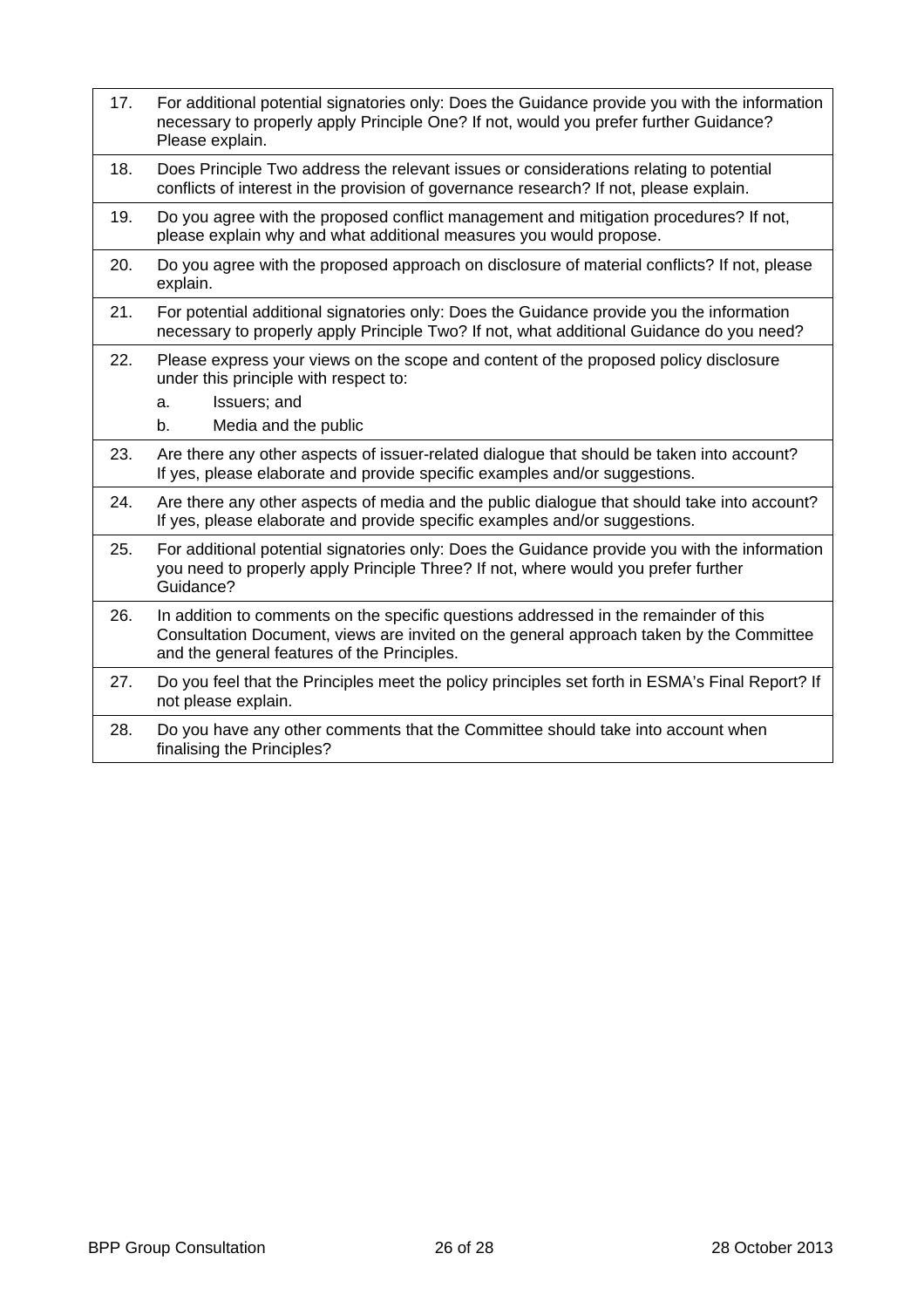| For additional potential signatories only: Does the Guidance provide you with the information<br>necessary to properly apply Principle One? If not, would you prefer further Guidance?<br>Please explain.                      |
|--------------------------------------------------------------------------------------------------------------------------------------------------------------------------------------------------------------------------------|
| Does Principle Two address the relevant issues or considerations relating to potential<br>conflicts of interest in the provision of governance research? If not, please explain.                                               |
| Do you agree with the proposed conflict management and mitigation procedures? If not,<br>please explain why and what additional measures you would propose.                                                                    |
| Do you agree with the proposed approach on disclosure of material conflicts? If not, please<br>explain.                                                                                                                        |
| For potential additional signatories only: Does the Guidance provide you the information<br>necessary to properly apply Principle Two? If not, what additional Guidance do you need?                                           |
| Please express your views on the scope and content of the proposed policy disclosure<br>under this principle with respect to:<br>Issuers; and<br>a.<br>Media and the public<br>$b_{\cdot}$                                     |
| Are there any other aspects of issuer-related dialogue that should be taken into account?<br>If yes, please elaborate and provide specific examples and/or suggestions.                                                        |
| Are there any other aspects of media and the public dialogue that should take into account?<br>If yes, please elaborate and provide specific examples and/or suggestions.                                                      |
| For additional potential signatories only: Does the Guidance provide you with the information<br>you need to properly apply Principle Three? If not, where would you prefer further<br>Guidance?                               |
| In addition to comments on the specific questions addressed in the remainder of this<br>Consultation Document, views are invited on the general approach taken by the Committee<br>and the general features of the Principles. |
| Do you feel that the Principles meet the policy principles set forth in ESMA's Final Report? If<br>not please explain.                                                                                                         |
| Do you have any other comments that the Committee should take into account when<br>finalising the Principles?                                                                                                                  |
|                                                                                                                                                                                                                                |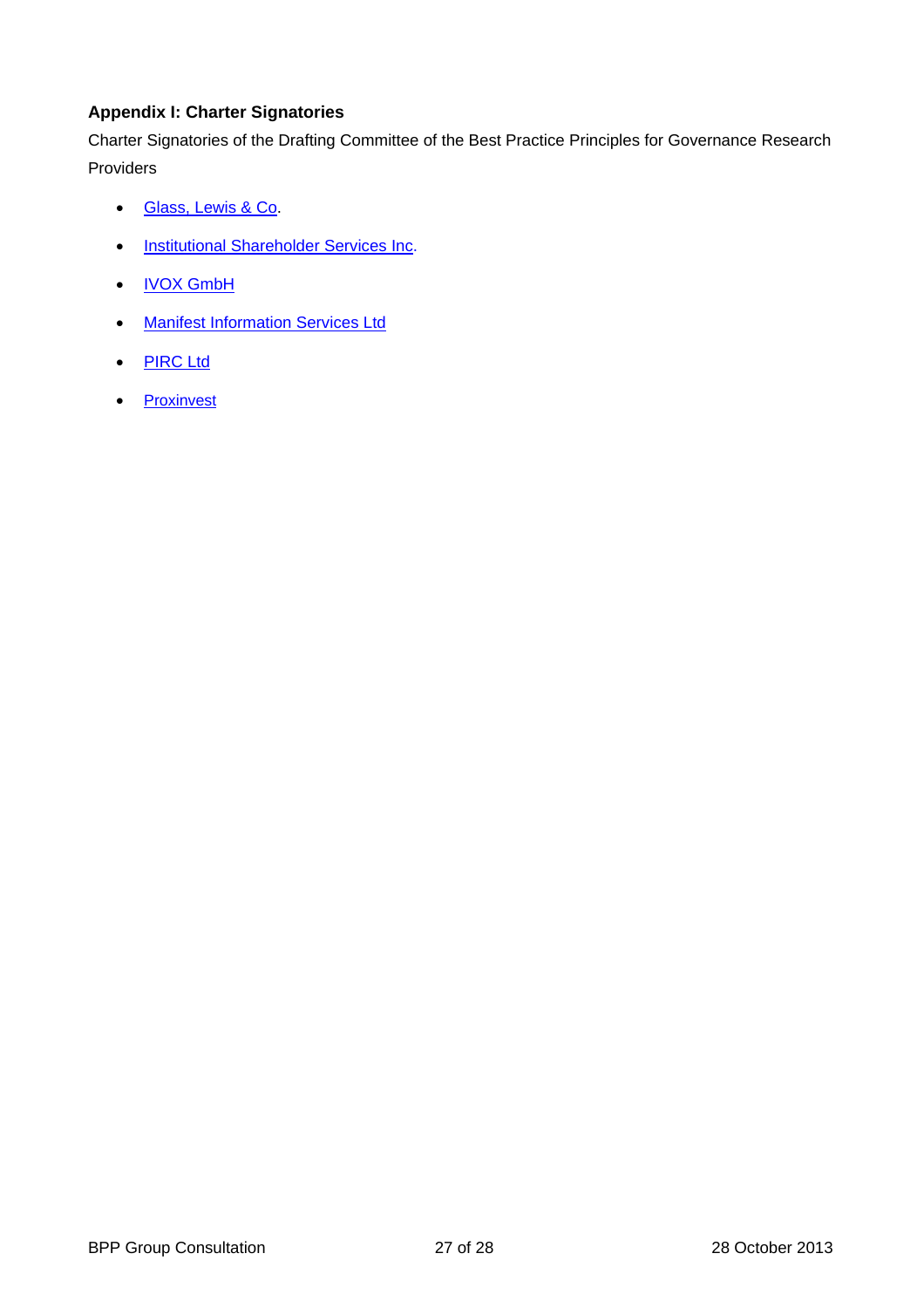## <span id="page-26-0"></span>**Appendix I: Charter Signatories**

Charter Signatories of the Drafting Committee of the Best Practice Principles for Governance Research Providers

- Glass, Lewis & C[o.](http://www.glasslewis.com/)
- **.** [Institutional Shareholder Services Inc](http://www.issgovernance.com/).
- [IVOX GmbH](http://www.ivox-europe.com/)
- Manifest Information Services Ltd
- [PIRC Ltd](http://www.pirc.co.uk/)
- [Proxinvest](http://www.proxinvest.com/)